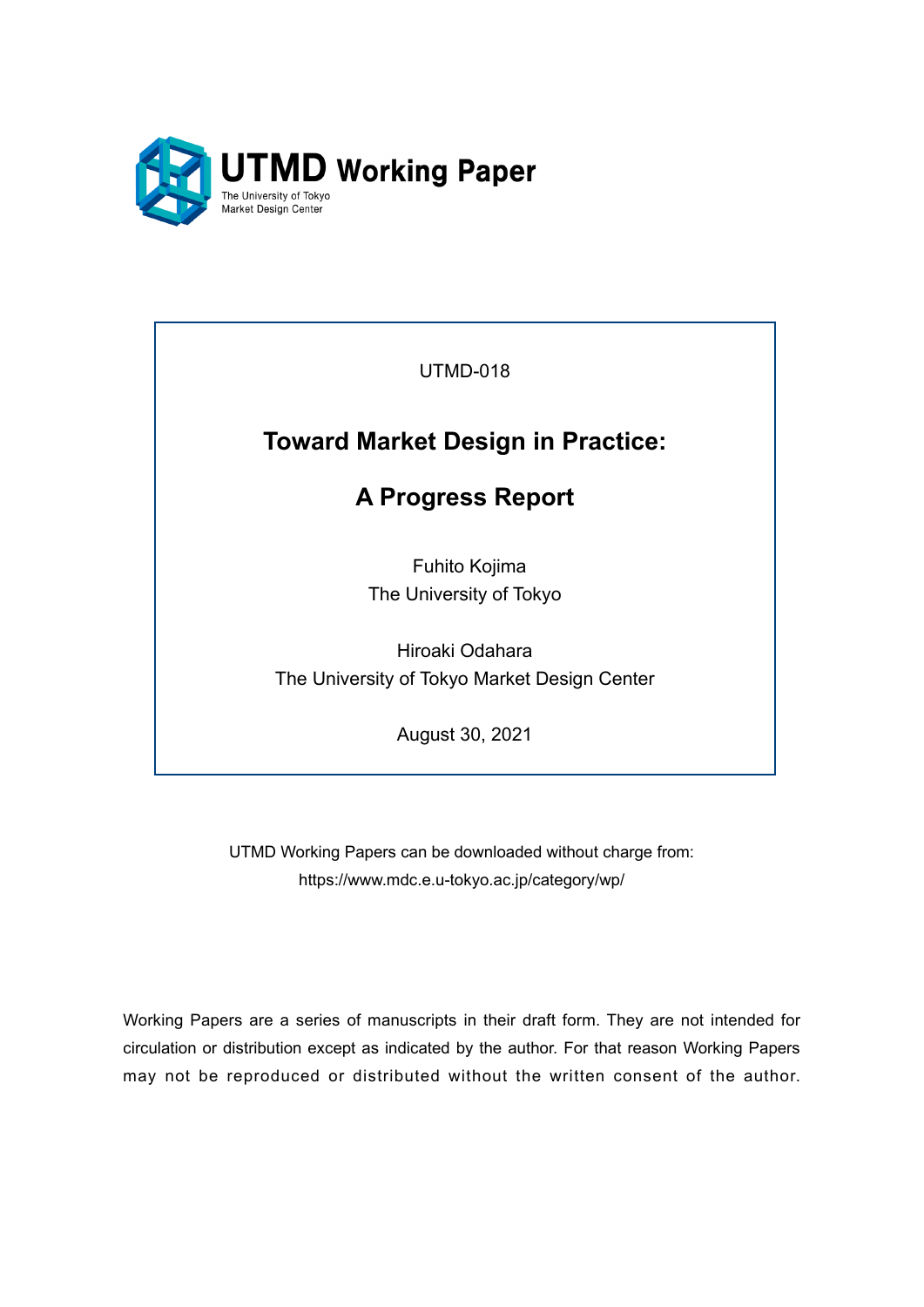

UTMD-018

# **Toward Market Design in Practice:**

# **A Progress Report**

Fuhito Kojima The University of Tokyo

Hiroaki Odahara The University of Tokyo Market Design Center

August 30, 2021

UTMD Working Papers can be downloaded without charge from: https://www.mdc.e.u-tokyo.ac.jp/category/wp/

Working Papers are a series of manuscripts in their draft form. They are not intended for circulation or distribution except as indicated by the author. For that reason Working Papers may not be reproduced or distributed without the written consent of the author.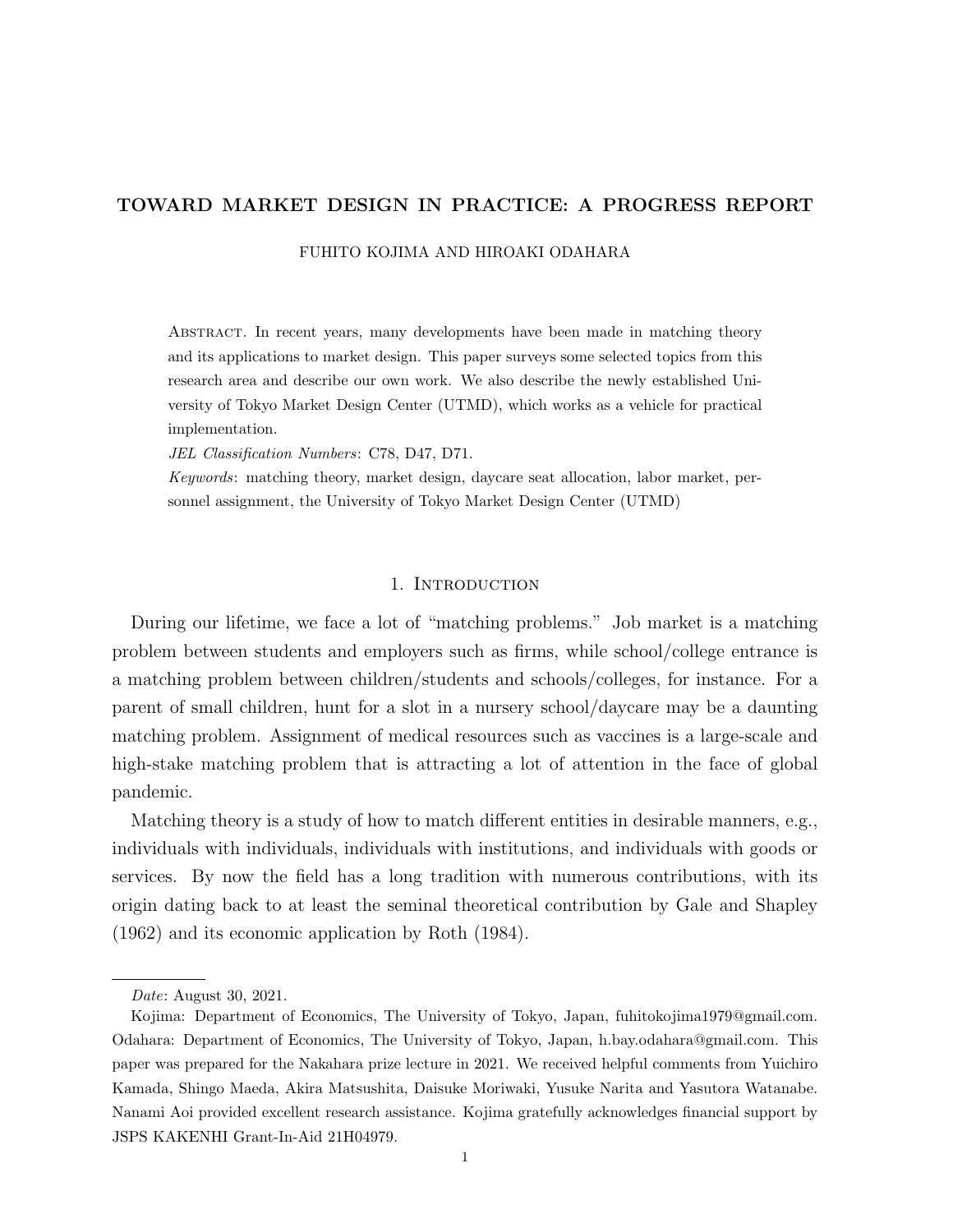# TOWARD MARKET DESIGN IN PRACTICE: A PROGRESS REPORT

FUHITO KOJIMA AND HIROAKI ODAHARA

Abstract. In recent years, many developments have been made in matching theory and its applications to market design. This paper surveys some selected topics from this research area and describe our own work. We also describe the newly established University of Tokyo Market Design Center (UTMD), which works as a vehicle for practical implementation.

JEL Classification Numbers: C78, D47, D71.

Keywords: matching theory, market design, daycare seat allocation, labor market, personnel assignment, the University of Tokyo Market Design Center (UTMD)

### 1. INTRODUCTION

During our lifetime, we face a lot of "matching problems." Job market is a matching problem between students and employers such as firms, while school/college entrance is a matching problem between children/students and schools/colleges, for instance. For a parent of small children, hunt for a slot in a nursery school/daycare may be a daunting matching problem. Assignment of medical resources such as vaccines is a large-scale and high-stake matching problem that is attracting a lot of attention in the face of global pandemic.

Matching theory is a study of how to match different entities in desirable manners, e.g., individuals with individuals, individuals with institutions, and individuals with goods or services. By now the field has a long tradition with numerous contributions, with its origin dating back to at least the seminal theoretical contribution by Gale and Shapley (1962) and its economic application by Roth (1984).

Date: August 30, 2021.

Kojima: Department of Economics, The University of Tokyo, Japan, fuhitokojima1979@gmail.com. Odahara: Department of Economics, The University of Tokyo, Japan, h.bay.odahara@gmail.com. This paper was prepared for the Nakahara prize lecture in 2021. We received helpful comments from Yuichiro Kamada, Shingo Maeda, Akira Matsushita, Daisuke Moriwaki, Yusuke Narita and Yasutora Watanabe. Nanami Aoi provided excellent research assistance. Kojima gratefully acknowledges financial support by JSPS KAKENHI Grant-In-Aid 21H04979.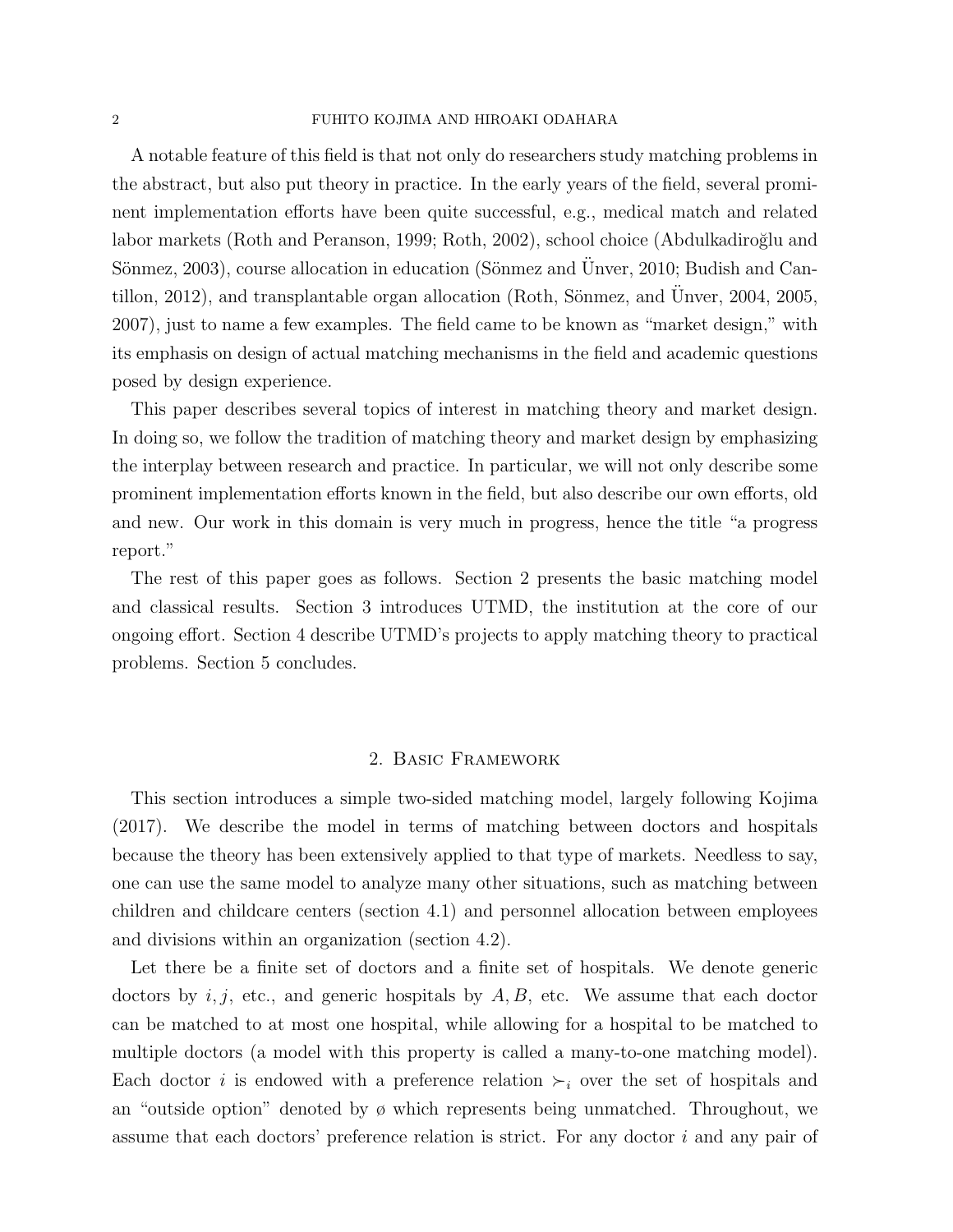A notable feature of this field is that not only do researchers study matching problems in the abstract, but also put theory in practice. In the early years of the field, several prominent implementation efforts have been quite successful, e.g., medical match and related labor markets (Roth and Peranson, 1999; Roth, 2002), school choice (Abdulkadiroğlu and Sönmez, 2003), course allocation in education (Sönmez and Unver, 2010; Budish and Cantillon, 2012), and transplantable organ allocation (Roth, Sönmez, and Unver,  $2004$ ,  $2005$ , 2007), just to name a few examples. The field came to be known as "market design," with its emphasis on design of actual matching mechanisms in the field and academic questions posed by design experience.

This paper describes several topics of interest in matching theory and market design. In doing so, we follow the tradition of matching theory and market design by emphasizing the interplay between research and practice. In particular, we will not only describe some prominent implementation efforts known in the field, but also describe our own efforts, old and new. Our work in this domain is very much in progress, hence the title "a progress report."

The rest of this paper goes as follows. Section 2 presents the basic matching model and classical results. Section 3 introduces UTMD, the institution at the core of our ongoing effort. Section 4 describe UTMD's projects to apply matching theory to practical problems. Section 5 concludes.

### 2. Basic Framework

This section introduces a simple two-sided matching model, largely following Kojima (2017). We describe the model in terms of matching between doctors and hospitals because the theory has been extensively applied to that type of markets. Needless to say, one can use the same model to analyze many other situations, such as matching between children and childcare centers (section 4.1) and personnel allocation between employees and divisions within an organization (section 4.2).

Let there be a finite set of doctors and a finite set of hospitals. We denote generic doctors by  $i, j$ , etc., and generic hospitals by  $A, B$ , etc. We assume that each doctor can be matched to at most one hospital, while allowing for a hospital to be matched to multiple doctors (a model with this property is called a many-to-one matching model). Each doctor *i* is endowed with a preference relation  $\succ_i$  over the set of hospitals and an "outside option" denoted by  $\phi$  which represents being unmatched. Throughout, we assume that each doctors' preference relation is strict. For any doctor i and any pair of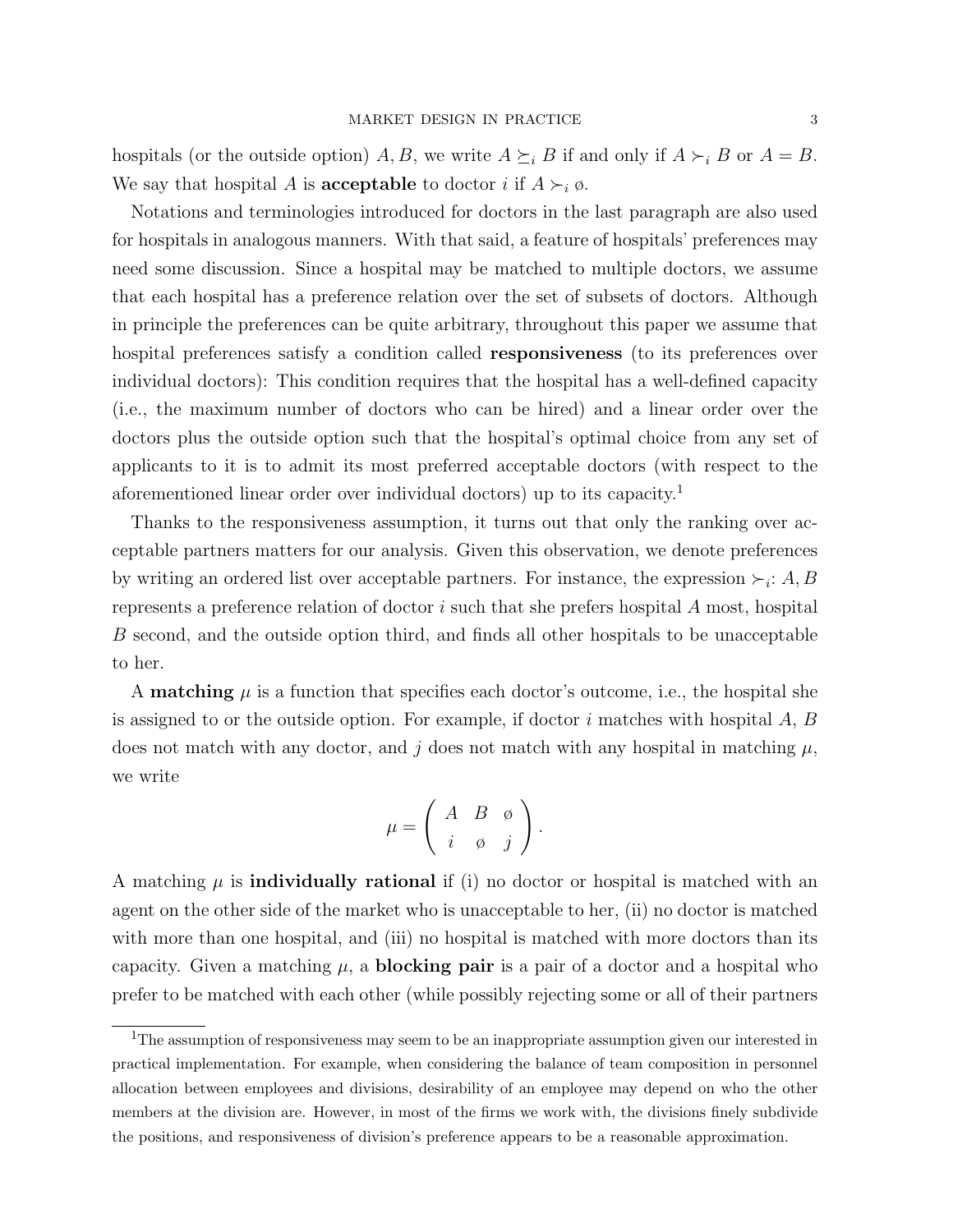hospitals (or the outside option) A, B, we write  $A \succeq_i B$  if and only if  $A \succ_i B$  or  $A = B$ . We say that hospital A is **acceptable** to doctor i if  $A \succ_i \emptyset$ .

Notations and terminologies introduced for doctors in the last paragraph are also used for hospitals in analogous manners. With that said, a feature of hospitals' preferences may need some discussion. Since a hospital may be matched to multiple doctors, we assume that each hospital has a preference relation over the set of subsets of doctors. Although in principle the preferences can be quite arbitrary, throughout this paper we assume that hospital preferences satisfy a condition called **responsiveness** (to its preferences over individual doctors): This condition requires that the hospital has a well-defined capacity (i.e., the maximum number of doctors who can be hired) and a linear order over the doctors plus the outside option such that the hospital's optimal choice from any set of applicants to it is to admit its most preferred acceptable doctors (with respect to the aforementioned linear order over individual doctors) up to its capacity.<sup>1</sup>

Thanks to the responsiveness assumption, it turns out that only the ranking over acceptable partners matters for our analysis. Given this observation, we denote preferences by writing an ordered list over acceptable partners. For instance, the expression  $\succ_i$ : A, B represents a preference relation of doctor  $i$  such that she prefers hospital  $A$  most, hospital B second, and the outside option third, and finds all other hospitals to be unacceptable to her.

A **matching**  $\mu$  is a function that specifies each doctor's outcome, i.e., the hospital she is assigned to or the outside option. For example, if doctor i matches with hospital  $A, B$ does not match with any doctor, and j does not match with any hospital in matching  $\mu$ , we write

$$
\mu = \left( \begin{array}{ccc} A & B & \emptyset \\ i & \emptyset & j \end{array} \right).
$$

A matching  $\mu$  is **individually rational** if (i) no doctor or hospital is matched with an agent on the other side of the market who is unacceptable to her, (ii) no doctor is matched with more than one hospital, and (iii) no hospital is matched with more doctors than its capacity. Given a matching  $\mu$ , a **blocking pair** is a pair of a doctor and a hospital who prefer to be matched with each other (while possibly rejecting some or all of their partners

<sup>&</sup>lt;sup>1</sup>The assumption of responsiveness may seem to be an inappropriate assumption given our interested in practical implementation. For example, when considering the balance of team composition in personnel allocation between employees and divisions, desirability of an employee may depend on who the other members at the division are. However, in most of the firms we work with, the divisions finely subdivide the positions, and responsiveness of division's preference appears to be a reasonable approximation.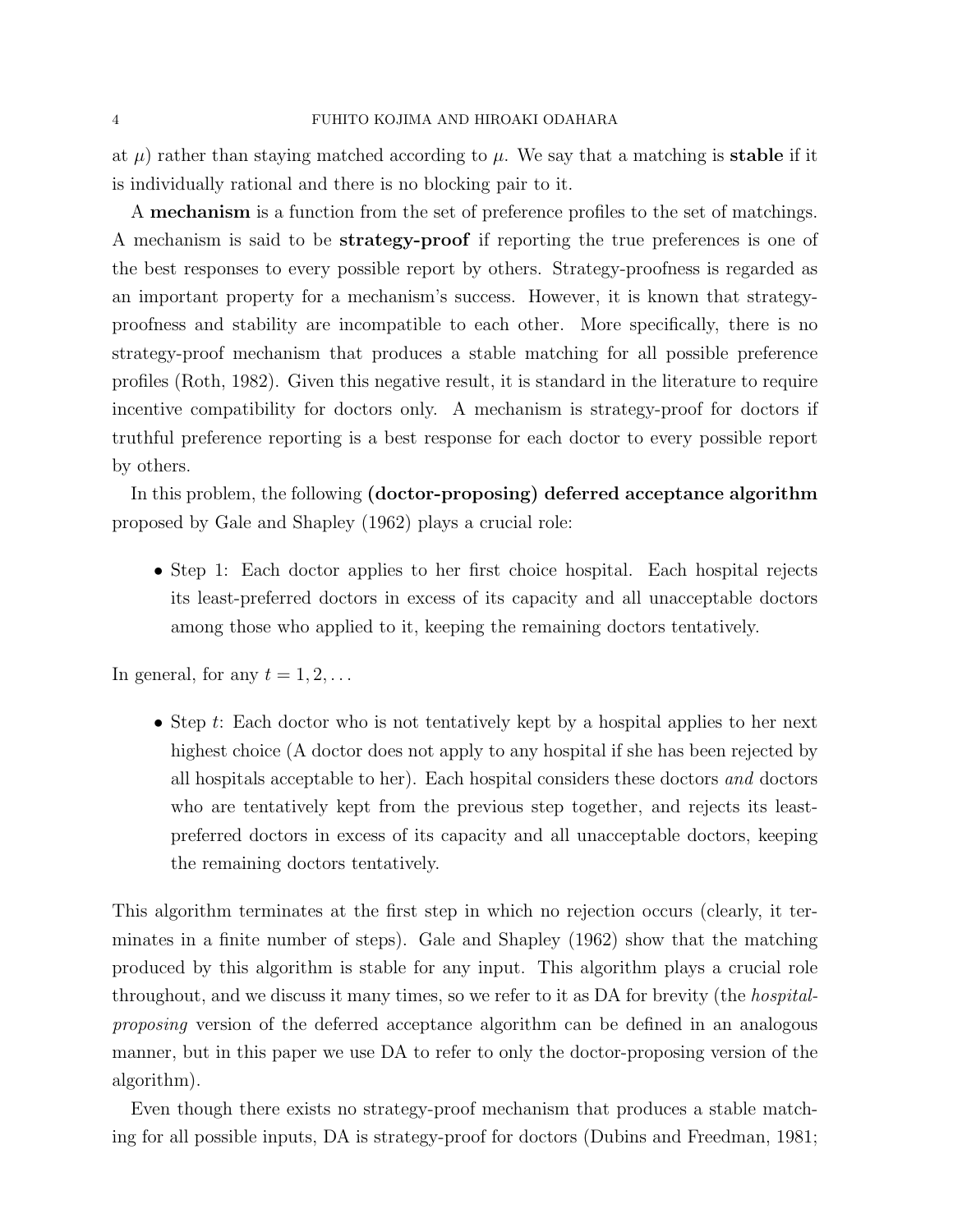at  $\mu$ ) rather than staying matched according to  $\mu$ . We say that a matching is **stable** if it is individually rational and there is no blocking pair to it.

A mechanism is a function from the set of preference profiles to the set of matchings. A mechanism is said to be strategy-proof if reporting the true preferences is one of the best responses to every possible report by others. Strategy-proofness is regarded as an important property for a mechanism's success. However, it is known that strategyproofness and stability are incompatible to each other. More specifically, there is no strategy-proof mechanism that produces a stable matching for all possible preference profiles (Roth, 1982). Given this negative result, it is standard in the literature to require incentive compatibility for doctors only. A mechanism is strategy-proof for doctors if truthful preference reporting is a best response for each doctor to every possible report by others.

In this problem, the following (doctor-proposing) deferred acceptance algorithm proposed by Gale and Shapley (1962) plays a crucial role:

• Step 1: Each doctor applies to her first choice hospital. Each hospital rejects its least-preferred doctors in excess of its capacity and all unacceptable doctors among those who applied to it, keeping the remaining doctors tentatively.

In general, for any  $t = 1, 2, \ldots$ 

• Step t: Each doctor who is not tentatively kept by a hospital applies to her next highest choice (A doctor does not apply to any hospital if she has been rejected by all hospitals acceptable to her). Each hospital considers these doctors and doctors who are tentatively kept from the previous step together, and rejects its leastpreferred doctors in excess of its capacity and all unacceptable doctors, keeping the remaining doctors tentatively.

This algorithm terminates at the first step in which no rejection occurs (clearly, it terminates in a finite number of steps). Gale and Shapley (1962) show that the matching produced by this algorithm is stable for any input. This algorithm plays a crucial role throughout, and we discuss it many times, so we refer to it as DA for brevity (the hospitalproposing version of the deferred acceptance algorithm can be defined in an analogous manner, but in this paper we use DA to refer to only the doctor-proposing version of the algorithm).

Even though there exists no strategy-proof mechanism that produces a stable matching for all possible inputs, DA is strategy-proof for doctors (Dubins and Freedman, 1981;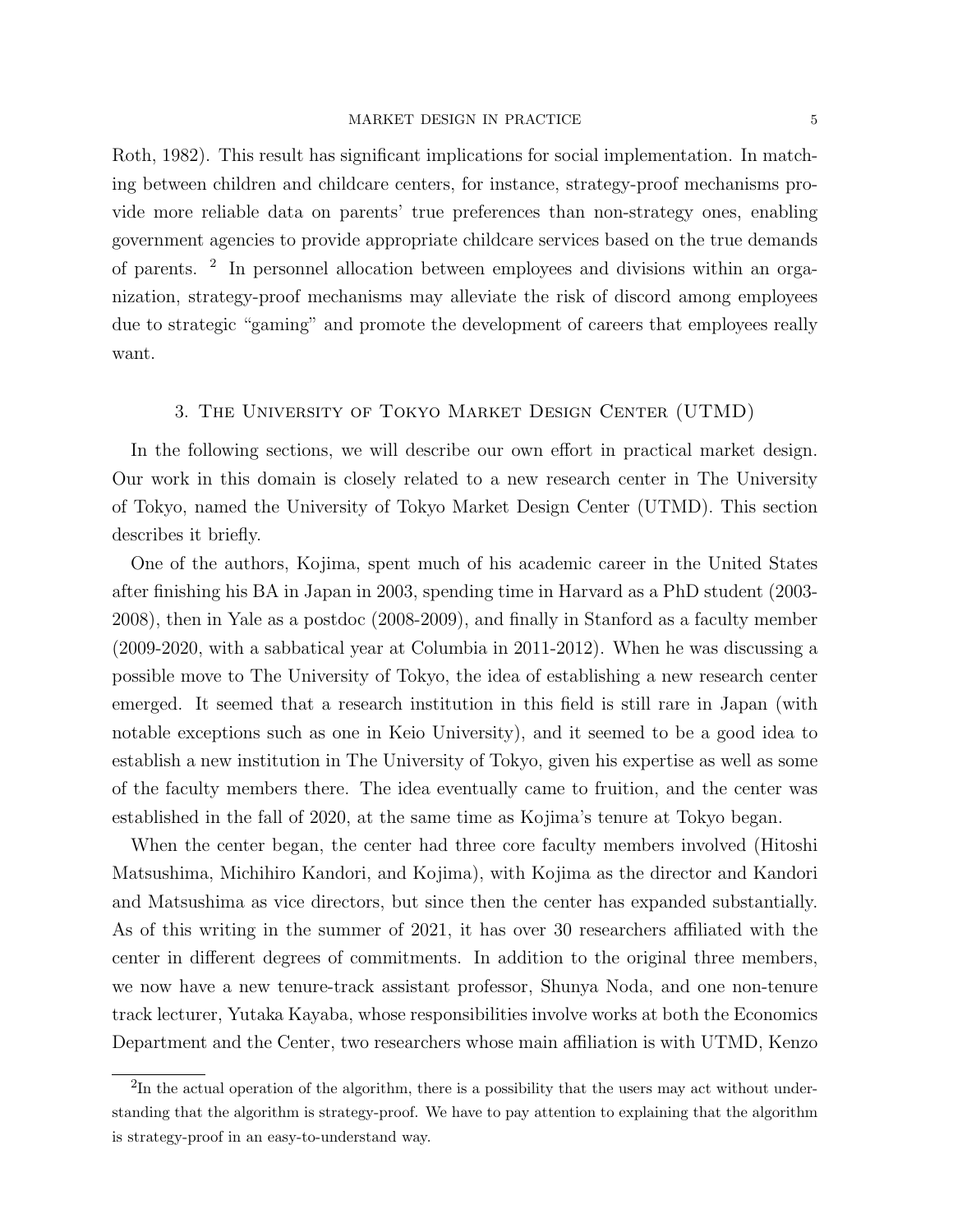Roth, 1982). This result has significant implications for social implementation. In matching between children and childcare centers, for instance, strategy-proof mechanisms provide more reliable data on parents' true preferences than non-strategy ones, enabling government agencies to provide appropriate childcare services based on the true demands of parents. <sup>2</sup> In personnel allocation between employees and divisions within an organization, strategy-proof mechanisms may alleviate the risk of discord among employees due to strategic "gaming" and promote the development of careers that employees really want.

# 3. The University of Tokyo Market Design Center (UTMD)

In the following sections, we will describe our own effort in practical market design. Our work in this domain is closely related to a new research center in The University of Tokyo, named the University of Tokyo Market Design Center (UTMD). This section describes it briefly.

One of the authors, Kojima, spent much of his academic career in the United States after finishing his BA in Japan in 2003, spending time in Harvard as a PhD student (2003- 2008), then in Yale as a postdoc (2008-2009), and finally in Stanford as a faculty member (2009-2020, with a sabbatical year at Columbia in 2011-2012). When he was discussing a possible move to The University of Tokyo, the idea of establishing a new research center emerged. It seemed that a research institution in this field is still rare in Japan (with notable exceptions such as one in Keio University), and it seemed to be a good idea to establish a new institution in The University of Tokyo, given his expertise as well as some of the faculty members there. The idea eventually came to fruition, and the center was established in the fall of 2020, at the same time as Kojima's tenure at Tokyo began.

When the center began, the center had three core faculty members involved (Hitoshi Matsushima, Michihiro Kandori, and Kojima), with Kojima as the director and Kandori and Matsushima as vice directors, but since then the center has expanded substantially. As of this writing in the summer of 2021, it has over 30 researchers affiliated with the center in different degrees of commitments. In addition to the original three members, we now have a new tenure-track assistant professor, Shunya Noda, and one non-tenure track lecturer, Yutaka Kayaba, whose responsibilities involve works at both the Economics Department and the Center, two researchers whose main affiliation is with UTMD, Kenzo

 $2\text{In the actual operation of the algorithm, there is a possibility that the users may act without under$ standing that the algorithm is strategy-proof. We have to pay attention to explaining that the algorithm is strategy-proof in an easy-to-understand way.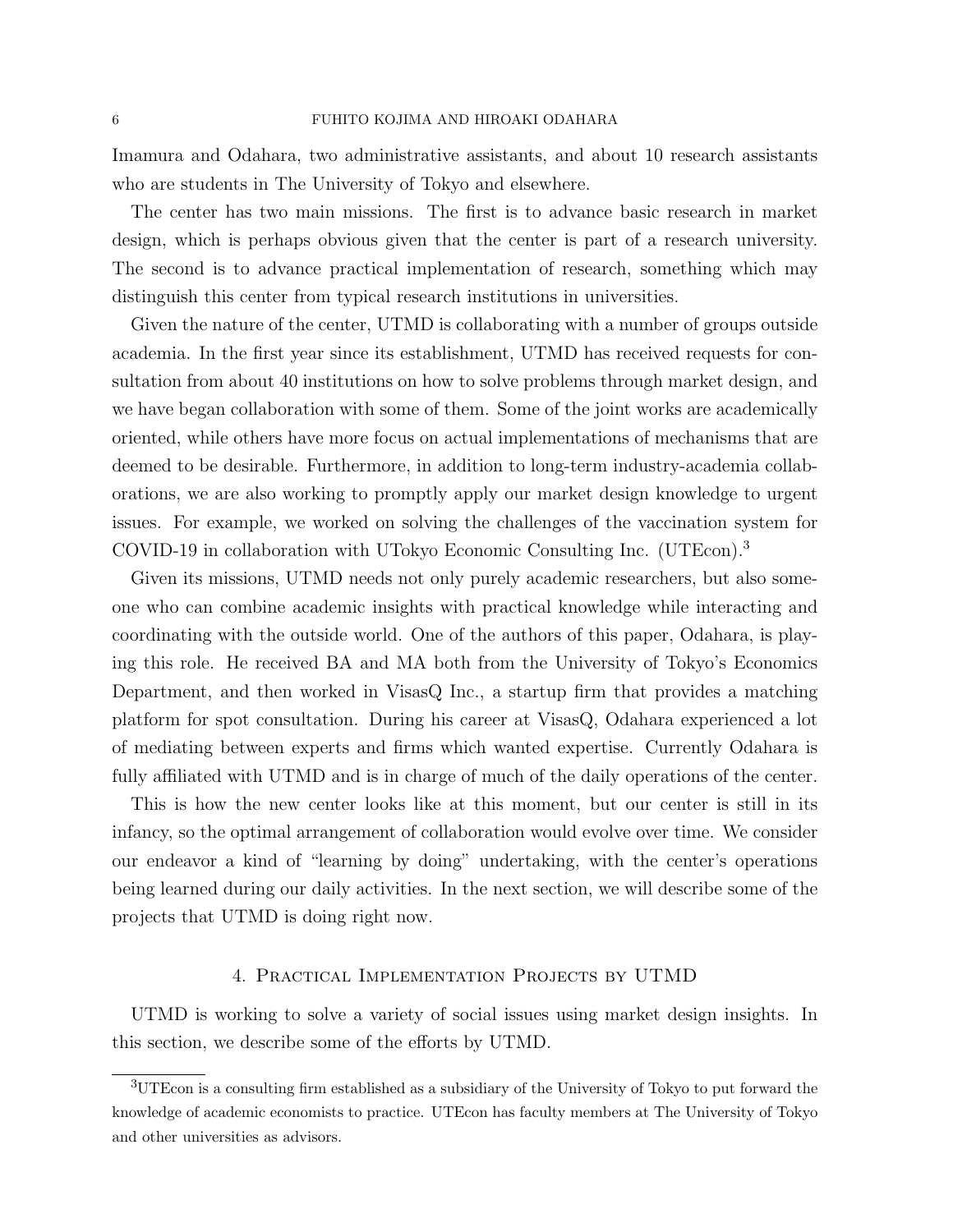Imamura and Odahara, two administrative assistants, and about 10 research assistants who are students in The University of Tokyo and elsewhere.

The center has two main missions. The first is to advance basic research in market design, which is perhaps obvious given that the center is part of a research university. The second is to advance practical implementation of research, something which may distinguish this center from typical research institutions in universities.

Given the nature of the center, UTMD is collaborating with a number of groups outside academia. In the first year since its establishment, UTMD has received requests for consultation from about 40 institutions on how to solve problems through market design, and we have began collaboration with some of them. Some of the joint works are academically oriented, while others have more focus on actual implementations of mechanisms that are deemed to be desirable. Furthermore, in addition to long-term industry-academia collaborations, we are also working to promptly apply our market design knowledge to urgent issues. For example, we worked on solving the challenges of the vaccination system for COVID-19 in collaboration with UTokyo Economic Consulting Inc. (UTEcon).<sup>3</sup>

Given its missions, UTMD needs not only purely academic researchers, but also someone who can combine academic insights with practical knowledge while interacting and coordinating with the outside world. One of the authors of this paper, Odahara, is playing this role. He received BA and MA both from the University of Tokyo's Economics Department, and then worked in VisasQ Inc., a startup firm that provides a matching platform for spot consultation. During his career at VisasQ, Odahara experienced a lot of mediating between experts and firms which wanted expertise. Currently Odahara is fully affiliated with UTMD and is in charge of much of the daily operations of the center.

This is how the new center looks like at this moment, but our center is still in its infancy, so the optimal arrangement of collaboration would evolve over time. We consider our endeavor a kind of "learning by doing" undertaking, with the center's operations being learned during our daily activities. In the next section, we will describe some of the projects that UTMD is doing right now.

# 4. Practical Implementation Projects by UTMD

UTMD is working to solve a variety of social issues using market design insights. In this section, we describe some of the efforts by UTMD.

<sup>3</sup>UTEcon is a consulting firm established as a subsidiary of the University of Tokyo to put forward the knowledge of academic economists to practice. UTEcon has faculty members at The University of Tokyo and other universities as advisors.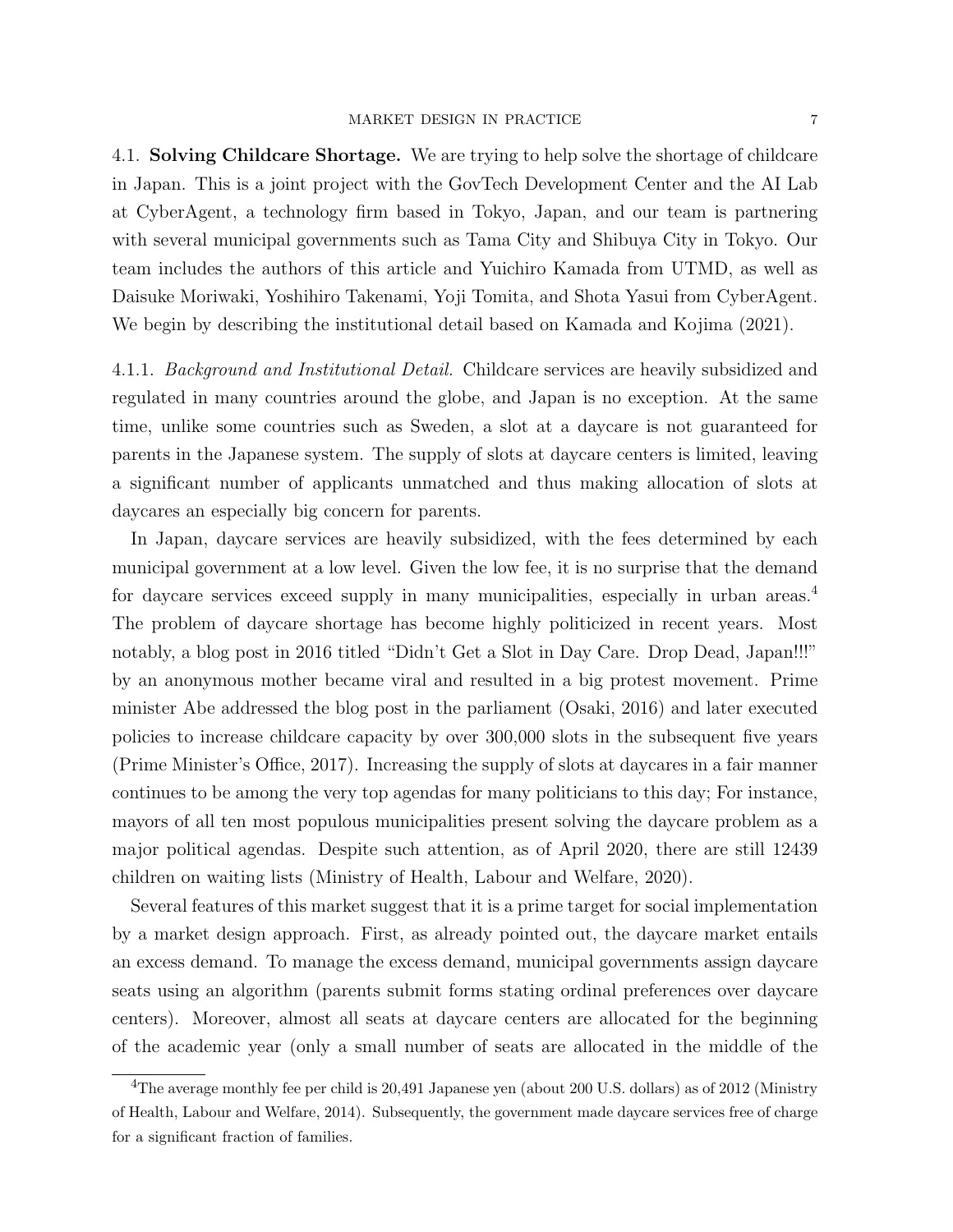4.1. Solving Childcare Shortage. We are trying to help solve the shortage of childcare in Japan. This is a joint project with the GovTech Development Center and the AI Lab at CyberAgent, a technology firm based in Tokyo, Japan, and our team is partnering with several municipal governments such as Tama City and Shibuya City in Tokyo. Our team includes the authors of this article and Yuichiro Kamada from UTMD, as well as Daisuke Moriwaki, Yoshihiro Takenami, Yoji Tomita, and Shota Yasui from CyberAgent. We begin by describing the institutional detail based on Kamada and Kojima (2021).

4.1.1. Background and Institutional Detail. Childcare services are heavily subsidized and regulated in many countries around the globe, and Japan is no exception. At the same time, unlike some countries such as Sweden, a slot at a daycare is not guaranteed for parents in the Japanese system. The supply of slots at daycare centers is limited, leaving a significant number of applicants unmatched and thus making allocation of slots at daycares an especially big concern for parents.

In Japan, daycare services are heavily subsidized, with the fees determined by each municipal government at a low level. Given the low fee, it is no surprise that the demand for daycare services exceed supply in many municipalities, especially in urban areas.<sup>4</sup> The problem of daycare shortage has become highly politicized in recent years. Most notably, a blog post in 2016 titled "Didn't Get a Slot in Day Care. Drop Dead, Japan!!!" by an anonymous mother became viral and resulted in a big protest movement. Prime minister Abe addressed the blog post in the parliament (Osaki, 2016) and later executed policies to increase childcare capacity by over 300,000 slots in the subsequent five years (Prime Minister's Office, 2017). Increasing the supply of slots at daycares in a fair manner continues to be among the very top agendas for many politicians to this day; For instance, mayors of all ten most populous municipalities present solving the daycare problem as a major political agendas. Despite such attention, as of April 2020, there are still 12439 children on waiting lists (Ministry of Health, Labour and Welfare, 2020).

Several features of this market suggest that it is a prime target for social implementation by a market design approach. First, as already pointed out, the daycare market entails an excess demand. To manage the excess demand, municipal governments assign daycare seats using an algorithm (parents submit forms stating ordinal preferences over daycare centers). Moreover, almost all seats at daycare centers are allocated for the beginning of the academic year (only a small number of seats are allocated in the middle of the

<sup>&</sup>lt;sup>4</sup>The average monthly fee per child is 20,491 Japanese yen (about 200 U.S. dollars) as of 2012 (Ministry of Health, Labour and Welfare, 2014). Subsequently, the government made daycare services free of charge for a significant fraction of families.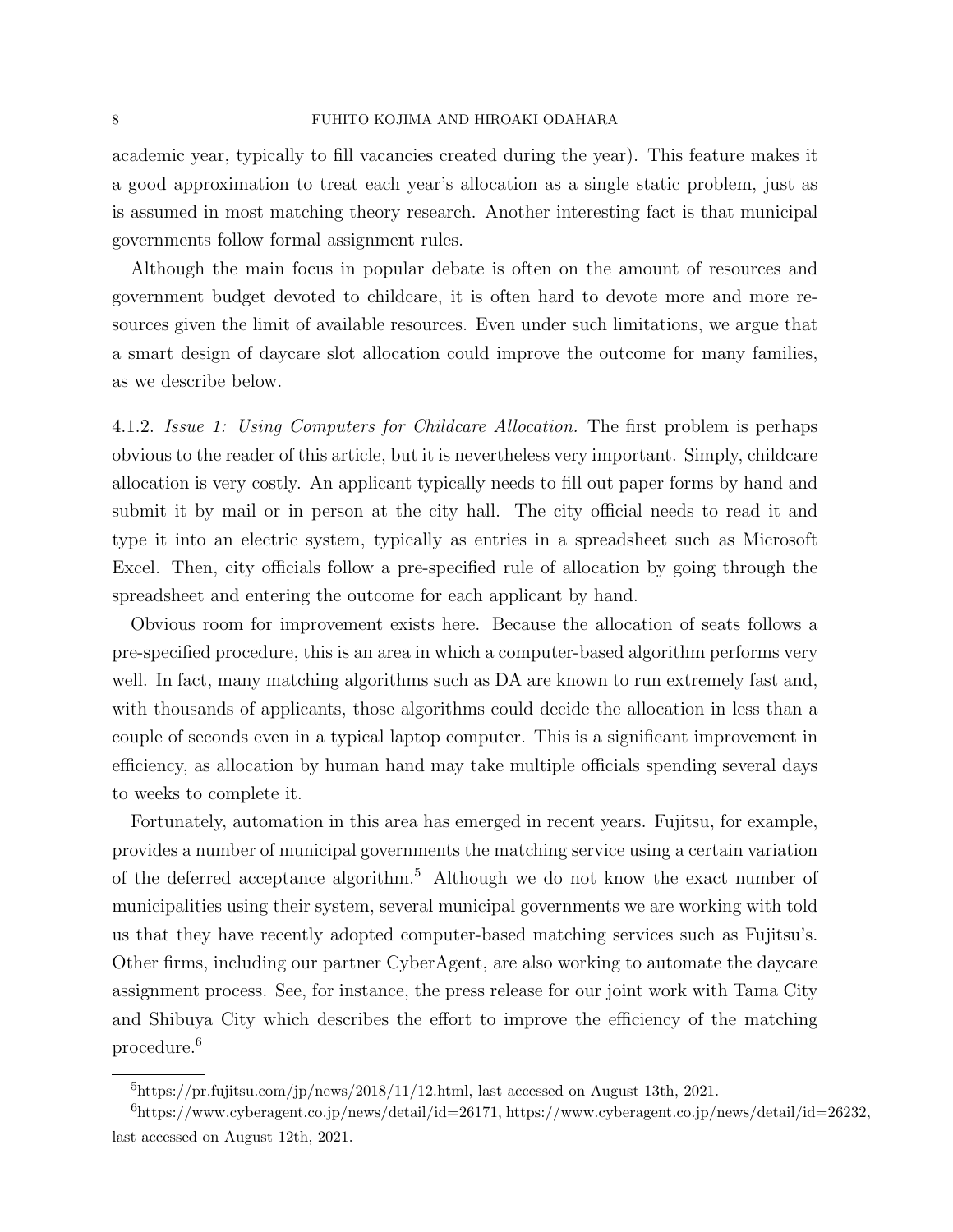academic year, typically to fill vacancies created during the year). This feature makes it a good approximation to treat each year's allocation as a single static problem, just as is assumed in most matching theory research. Another interesting fact is that municipal governments follow formal assignment rules.

Although the main focus in popular debate is often on the amount of resources and government budget devoted to childcare, it is often hard to devote more and more resources given the limit of available resources. Even under such limitations, we argue that a smart design of daycare slot allocation could improve the outcome for many families, as we describe below.

4.1.2. Issue 1: Using Computers for Childcare Allocation. The first problem is perhaps obvious to the reader of this article, but it is nevertheless very important. Simply, childcare allocation is very costly. An applicant typically needs to fill out paper forms by hand and submit it by mail or in person at the city hall. The city official needs to read it and type it into an electric system, typically as entries in a spreadsheet such as Microsoft Excel. Then, city officials follow a pre-specified rule of allocation by going through the spreadsheet and entering the outcome for each applicant by hand.

Obvious room for improvement exists here. Because the allocation of seats follows a pre-specified procedure, this is an area in which a computer-based algorithm performs very well. In fact, many matching algorithms such as DA are known to run extremely fast and, with thousands of applicants, those algorithms could decide the allocation in less than a couple of seconds even in a typical laptop computer. This is a significant improvement in efficiency, as allocation by human hand may take multiple officials spending several days to weeks to complete it.

Fortunately, automation in this area has emerged in recent years. Fujitsu, for example, provides a number of municipal governments the matching service using a certain variation of the deferred acceptance algorithm.<sup>5</sup> Although we do not know the exact number of municipalities using their system, several municipal governments we are working with told us that they have recently adopted computer-based matching services such as Fujitsu's. Other firms, including our partner CyberAgent, are also working to automate the daycare assignment process. See, for instance, the press release for our joint work with Tama City and Shibuya City which describes the effort to improve the efficiency of the matching procedure.<sup>6</sup>

 $^{5}$ https://pr.fujitsu.com/jp/news/2018/11/12.html, last accessed on August 13th, 2021.

<sup>6</sup>https://www.cyberagent.co.jp/news/detail/id=26171, https://www.cyberagent.co.jp/news/detail/id=26232, last accessed on August 12th, 2021.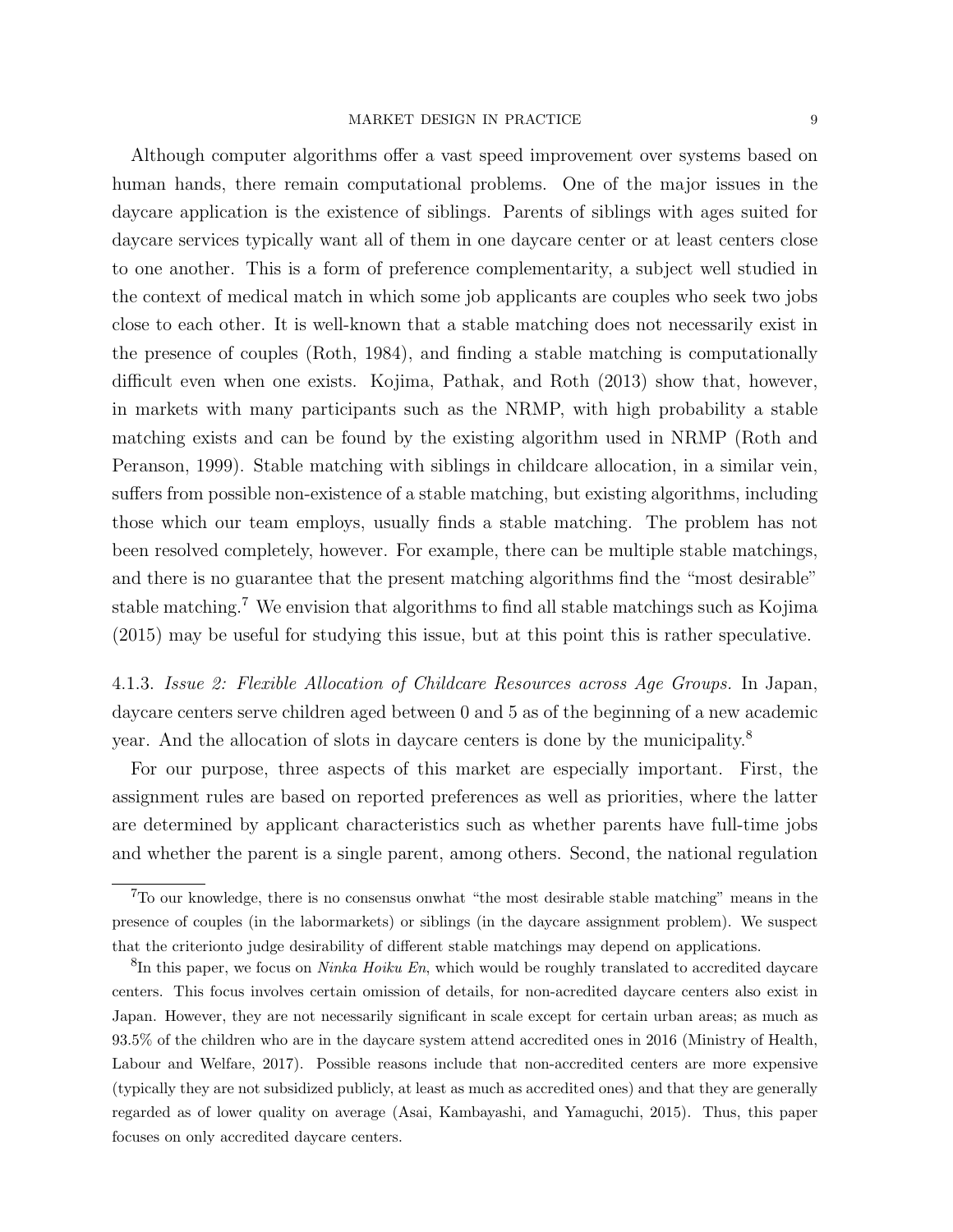Although computer algorithms offer a vast speed improvement over systems based on human hands, there remain computational problems. One of the major issues in the daycare application is the existence of siblings. Parents of siblings with ages suited for daycare services typically want all of them in one daycare center or at least centers close to one another. This is a form of preference complementarity, a subject well studied in the context of medical match in which some job applicants are couples who seek two jobs close to each other. It is well-known that a stable matching does not necessarily exist in the presence of couples (Roth, 1984), and finding a stable matching is computationally difficult even when one exists. Kojima, Pathak, and Roth (2013) show that, however, in markets with many participants such as the NRMP, with high probability a stable matching exists and can be found by the existing algorithm used in NRMP (Roth and Peranson, 1999). Stable matching with siblings in childcare allocation, in a similar vein, suffers from possible non-existence of a stable matching, but existing algorithms, including those which our team employs, usually finds a stable matching. The problem has not been resolved completely, however. For example, there can be multiple stable matchings, and there is no guarantee that the present matching algorithms find the "most desirable" stable matching.<sup>7</sup> We envision that algorithms to find all stable matchings such as Kojima (2015) may be useful for studying this issue, but at this point this is rather speculative.

4.1.3. Issue 2: Flexible Allocation of Childcare Resources across Age Groups. In Japan, daycare centers serve children aged between 0 and 5 as of the beginning of a new academic year. And the allocation of slots in daycare centers is done by the municipality.<sup>8</sup>

For our purpose, three aspects of this market are especially important. First, the assignment rules are based on reported preferences as well as priorities, where the latter are determined by applicant characteristics such as whether parents have full-time jobs and whether the parent is a single parent, among others. Second, the national regulation

<sup>7</sup>To our knowledge, there is no consensus onwhat "the most desirable stable matching" means in the presence of couples (in the labormarkets) or siblings (in the daycare assignment problem). We suspect that the criterionto judge desirability of different stable matchings may depend on applications.

 ${}^{8}$ In this paper, we focus on *Ninka Hoiku En*, which would be roughly translated to accredited daycare centers. This focus involves certain omission of details, for non-acredited daycare centers also exist in Japan. However, they are not necessarily significant in scale except for certain urban areas; as much as 93.5% of the children who are in the daycare system attend accredited ones in 2016 (Ministry of Health, Labour and Welfare, 2017). Possible reasons include that non-accredited centers are more expensive (typically they are not subsidized publicly, at least as much as accredited ones) and that they are generally regarded as of lower quality on average (Asai, Kambayashi, and Yamaguchi, 2015). Thus, this paper focuses on only accredited daycare centers.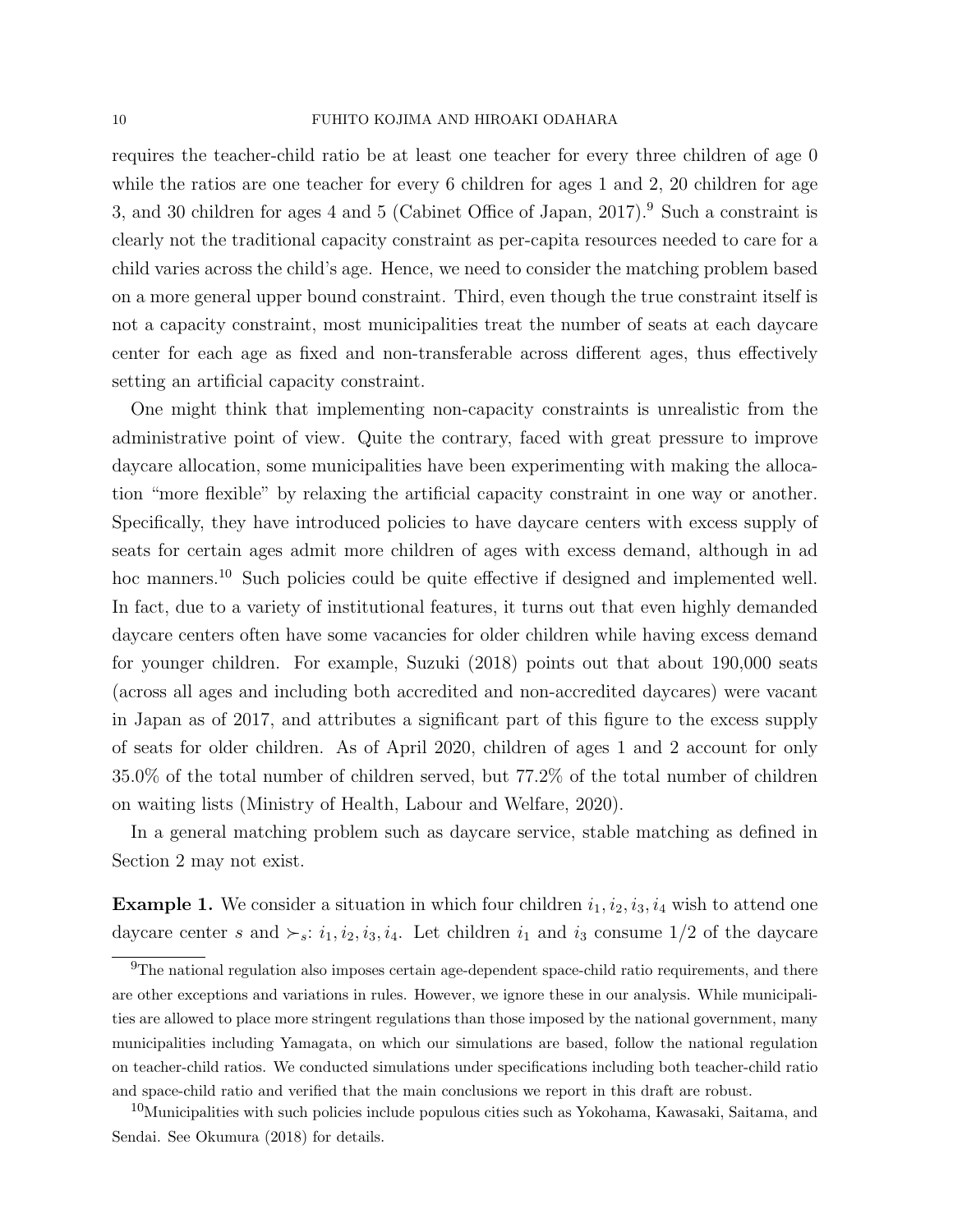requires the teacher-child ratio be at least one teacher for every three children of age 0 while the ratios are one teacher for every 6 children for ages 1 and 2, 20 children for age 3, and 30 children for ages 4 and 5 (Cabinet Office of Japan,  $2017$ ).<sup>9</sup> Such a constraint is clearly not the traditional capacity constraint as per-capita resources needed to care for a child varies across the child's age. Hence, we need to consider the matching problem based on a more general upper bound constraint. Third, even though the true constraint itself is not a capacity constraint, most municipalities treat the number of seats at each daycare center for each age as fixed and non-transferable across different ages, thus effectively setting an artificial capacity constraint.

One might think that implementing non-capacity constraints is unrealistic from the administrative point of view. Quite the contrary, faced with great pressure to improve daycare allocation, some municipalities have been experimenting with making the allocation "more flexible" by relaxing the artificial capacity constraint in one way or another. Specifically, they have introduced policies to have daycare centers with excess supply of seats for certain ages admit more children of ages with excess demand, although in ad hoc manners.<sup>10</sup> Such policies could be quite effective if designed and implemented well. In fact, due to a variety of institutional features, it turns out that even highly demanded daycare centers often have some vacancies for older children while having excess demand for younger children. For example, Suzuki (2018) points out that about 190,000 seats (across all ages and including both accredited and non-accredited daycares) were vacant in Japan as of 2017, and attributes a significant part of this figure to the excess supply of seats for older children. As of April 2020, children of ages 1 and 2 account for only 35.0% of the total number of children served, but 77.2% of the total number of children on waiting lists (Ministry of Health, Labour and Welfare, 2020).

In a general matching problem such as daycare service, stable matching as defined in Section 2 may not exist.

**Example 1.** We consider a situation in which four children  $i_1, i_2, i_3, i_4$  wish to attend one daycare center s and  $\succ_s$ :  $i_1, i_2, i_3, i_4$ . Let children  $i_1$  and  $i_3$  consume  $1/2$  of the daycare

<sup>9</sup>The national regulation also imposes certain age-dependent space-child ratio requirements, and there are other exceptions and variations in rules. However, we ignore these in our analysis. While municipalities are allowed to place more stringent regulations than those imposed by the national government, many municipalities including Yamagata, on which our simulations are based, follow the national regulation on teacher-child ratios. We conducted simulations under specifications including both teacher-child ratio and space-child ratio and verified that the main conclusions we report in this draft are robust.

<sup>&</sup>lt;sup>10</sup>Municipalities with such policies include populous cities such as Yokohama, Kawasaki, Saitama, and Sendai. See Okumura (2018) for details.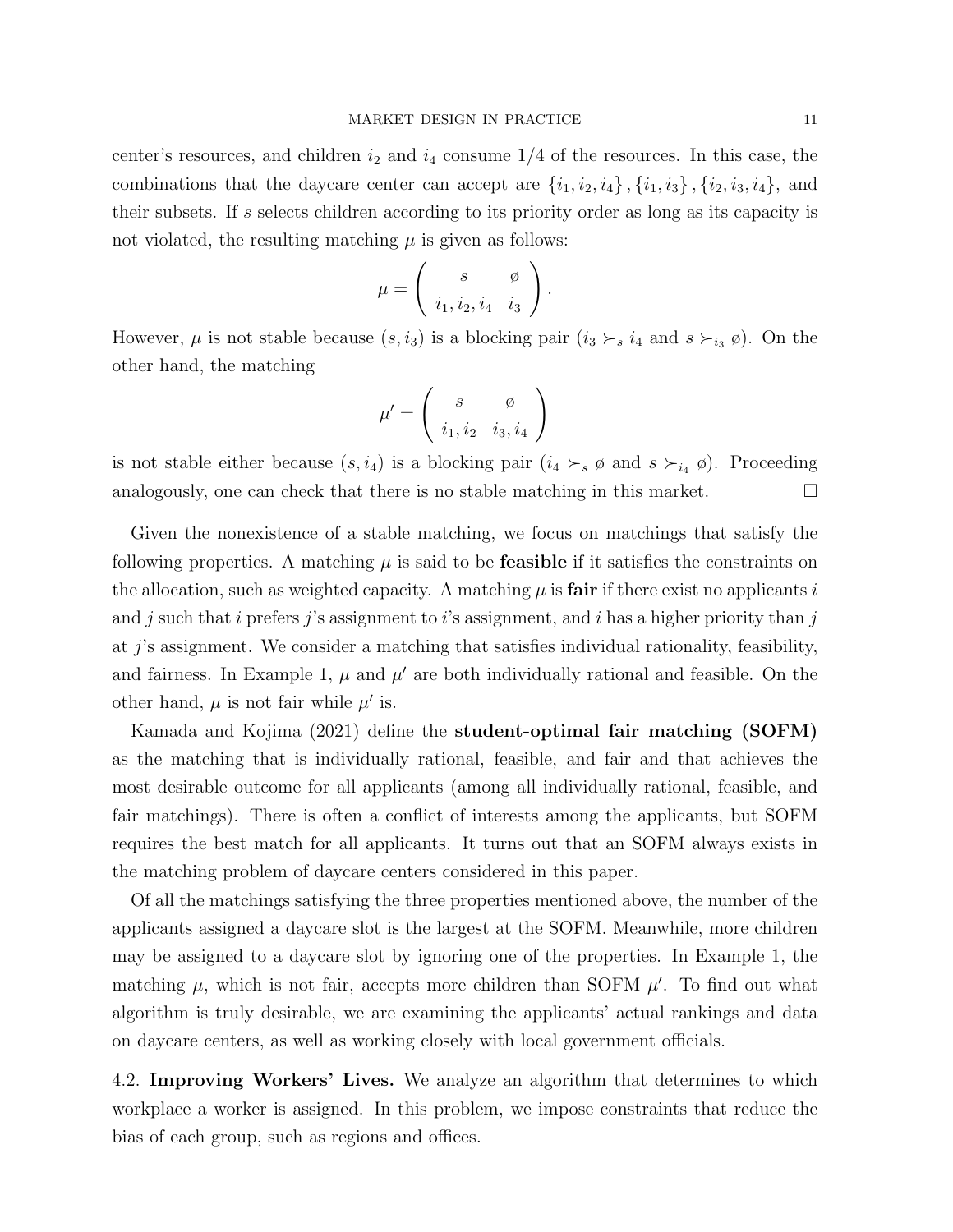center's resources, and children  $i_2$  and  $i_4$  consume  $1/4$  of the resources. In this case, the combinations that the daycare center can accept are  $\{i_1, i_2, i_4\}$ ,  $\{i_1, i_3\}$ ,  $\{i_2, i_3, i_4\}$ , and their subsets. If s selects children according to its priority order as long as its capacity is not violated, the resulting matching  $\mu$  is given as follows:

$$
\mu = \left( \begin{array}{cc} s & \varnothing \\ i_1, i_2, i_4 & i_3 \end{array} \right).
$$

However,  $\mu$  is not stable because  $(s, i_3)$  is a blocking pair  $(i_3 \succ_s i_4$  and  $s \succ_{i_3} \emptyset)$ . On the other hand, the matching

$$
\mu' = \left(\begin{array}{cc} s & \phi \\ i_1, i_2 & i_3, i_4 \end{array}\right)
$$

is not stable either because  $(s, i_4)$  is a blocking pair  $(i_4 \succ_s \emptyset$  and  $s \succ_{i_4} \emptyset)$ . Proceeding analogously, one can check that there is no stable matching in this market.  $\Box$ 

Given the nonexistence of a stable matching, we focus on matchings that satisfy the following properties. A matching  $\mu$  is said to be **feasible** if it satisfies the constraints on the allocation, such as weighted capacity. A matching  $\mu$  is **fair** if there exist no applicants i and j such that i prefers j's assignment to i's assignment, and i has a higher priority than j at  $j$ 's assignment. We consider a matching that satisfies individual rationality, feasibility, and fairness. In Example 1,  $\mu$  and  $\mu'$  are both individually rational and feasible. On the other hand,  $\mu$  is not fair while  $\mu'$  is.

Kamada and Kojima (2021) define the student-optimal fair matching (SOFM) as the matching that is individually rational, feasible, and fair and that achieves the most desirable outcome for all applicants (among all individually rational, feasible, and fair matchings). There is often a conflict of interests among the applicants, but SOFM requires the best match for all applicants. It turns out that an SOFM always exists in the matching problem of daycare centers considered in this paper.

Of all the matchings satisfying the three properties mentioned above, the number of the applicants assigned a daycare slot is the largest at the SOFM. Meanwhile, more children may be assigned to a daycare slot by ignoring one of the properties. In Example 1, the matching  $\mu$ , which is not fair, accepts more children than SOFM  $\mu'$ . To find out what algorithm is truly desirable, we are examining the applicants' actual rankings and data on daycare centers, as well as working closely with local government officials.

4.2. Improving Workers' Lives. We analyze an algorithm that determines to which workplace a worker is assigned. In this problem, we impose constraints that reduce the bias of each group, such as regions and offices.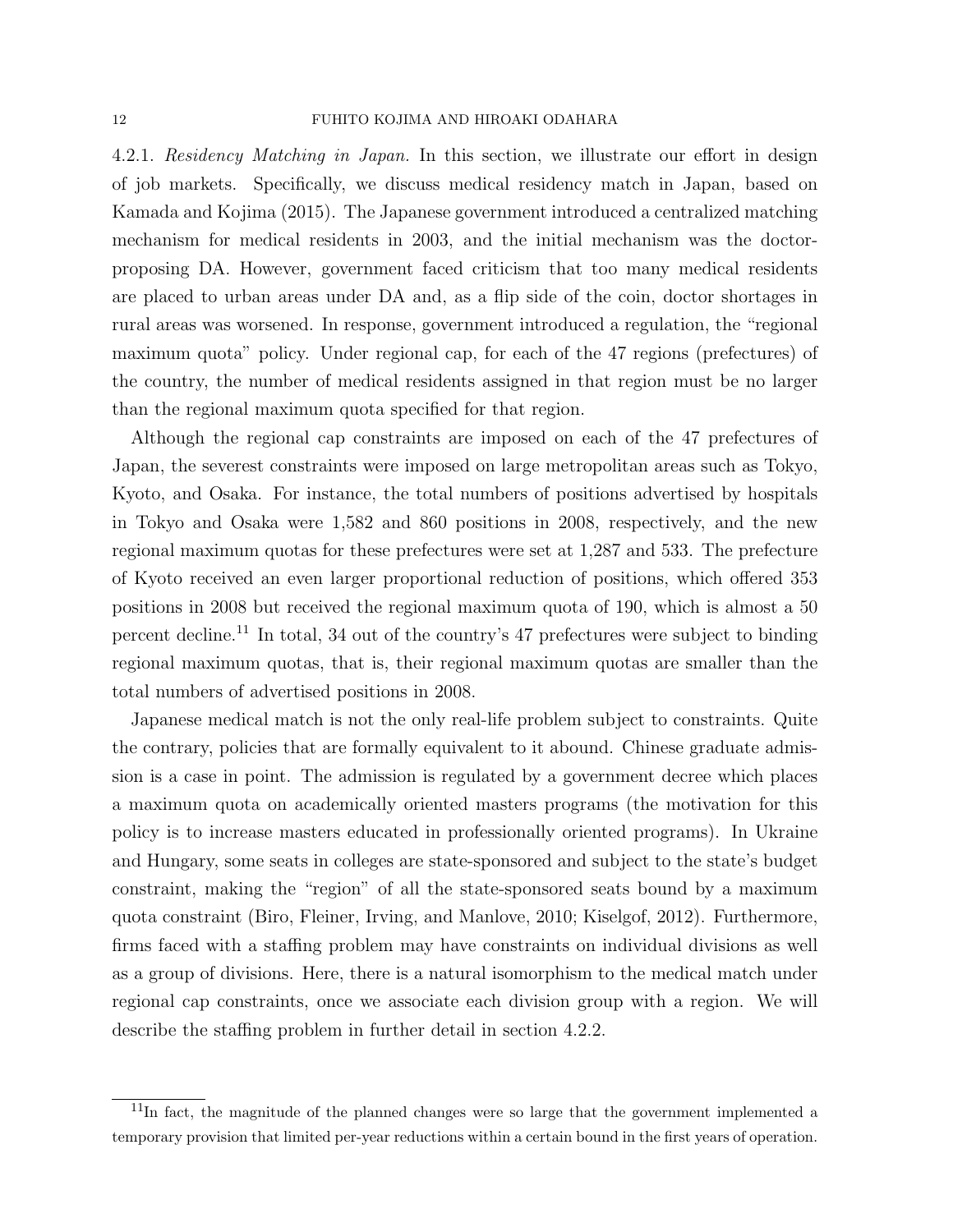4.2.1. Residency Matching in Japan. In this section, we illustrate our effort in design of job markets. Specifically, we discuss medical residency match in Japan, based on Kamada and Kojima (2015). The Japanese government introduced a centralized matching mechanism for medical residents in 2003, and the initial mechanism was the doctorproposing DA. However, government faced criticism that too many medical residents are placed to urban areas under DA and, as a flip side of the coin, doctor shortages in rural areas was worsened. In response, government introduced a regulation, the "regional maximum quota" policy. Under regional cap, for each of the 47 regions (prefectures) of the country, the number of medical residents assigned in that region must be no larger than the regional maximum quota specified for that region.

Although the regional cap constraints are imposed on each of the 47 prefectures of Japan, the severest constraints were imposed on large metropolitan areas such as Tokyo, Kyoto, and Osaka. For instance, the total numbers of positions advertised by hospitals in Tokyo and Osaka were 1,582 and 860 positions in 2008, respectively, and the new regional maximum quotas for these prefectures were set at 1,287 and 533. The prefecture of Kyoto received an even larger proportional reduction of positions, which offered 353 positions in 2008 but received the regional maximum quota of 190, which is almost a 50 percent decline.<sup>11</sup> In total, 34 out of the country's 47 prefectures were subject to binding regional maximum quotas, that is, their regional maximum quotas are smaller than the total numbers of advertised positions in 2008.

Japanese medical match is not the only real-life problem subject to constraints. Quite the contrary, policies that are formally equivalent to it abound. Chinese graduate admission is a case in point. The admission is regulated by a government decree which places a maximum quota on academically oriented masters programs (the motivation for this policy is to increase masters educated in professionally oriented programs). In Ukraine and Hungary, some seats in colleges are state-sponsored and subject to the state's budget constraint, making the "region" of all the state-sponsored seats bound by a maximum quota constraint (Biro, Fleiner, Irving, and Manlove, 2010; Kiselgof, 2012). Furthermore, firms faced with a staffing problem may have constraints on individual divisions as well as a group of divisions. Here, there is a natural isomorphism to the medical match under regional cap constraints, once we associate each division group with a region. We will describe the staffing problem in further detail in section 4.2.2.

<sup>&</sup>lt;sup>11</sup>In fact, the magnitude of the planned changes were so large that the government implemented a temporary provision that limited per-year reductions within a certain bound in the first years of operation.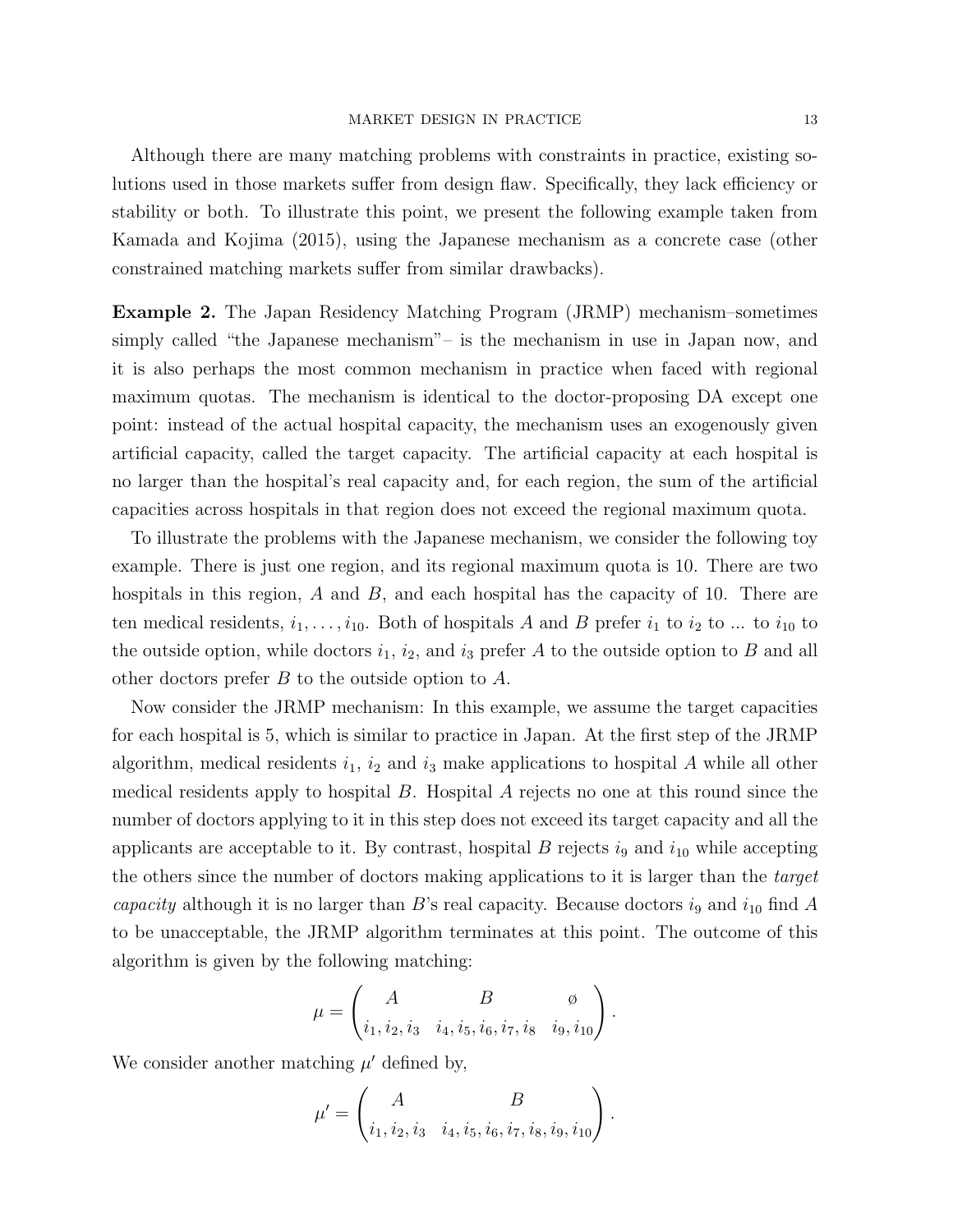Although there are many matching problems with constraints in practice, existing solutions used in those markets suffer from design flaw. Specifically, they lack efficiency or stability or both. To illustrate this point, we present the following example taken from Kamada and Kojima (2015), using the Japanese mechanism as a concrete case (other constrained matching markets suffer from similar drawbacks).

Example 2. The Japan Residency Matching Program (JRMP) mechanism–sometimes simply called "the Japanese mechanism"– is the mechanism in use in Japan now, and it is also perhaps the most common mechanism in practice when faced with regional maximum quotas. The mechanism is identical to the doctor-proposing DA except one point: instead of the actual hospital capacity, the mechanism uses an exogenously given artificial capacity, called the target capacity. The artificial capacity at each hospital is no larger than the hospital's real capacity and, for each region, the sum of the artificial capacities across hospitals in that region does not exceed the regional maximum quota.

To illustrate the problems with the Japanese mechanism, we consider the following toy example. There is just one region, and its regional maximum quota is 10. There are two hospitals in this region,  $A$  and  $B$ , and each hospital has the capacity of 10. There are ten medical residents,  $i_1, \ldots, i_{10}$ . Both of hospitals A and B prefer  $i_1$  to  $i_2$  to ... to  $i_{10}$  to the outside option, while doctors  $i_1$ ,  $i_2$ , and  $i_3$  prefer A to the outside option to B and all other doctors prefer B to the outside option to A.

Now consider the JRMP mechanism: In this example, we assume the target capacities for each hospital is 5, which is similar to practice in Japan. At the first step of the JRMP algorithm, medical residents  $i_1$ ,  $i_2$  and  $i_3$  make applications to hospital A while all other medical residents apply to hospital  $B$ . Hospital  $A$  rejects no one at this round since the number of doctors applying to it in this step does not exceed its target capacity and all the applicants are acceptable to it. By contrast, hospital B rejects  $i_9$  and  $i_{10}$  while accepting the others since the number of doctors making applications to it is larger than the target capacity although it is no larger than B's real capacity. Because doctors  $i_9$  and  $i_{10}$  find A to be unacceptable, the JRMP algorithm terminates at this point. The outcome of this algorithm is given by the following matching:

$$
\mu = \begin{pmatrix} A & B & \phi \\ i_1, i_2, i_3 & i_4, i_5, i_6, i_7, i_8 & i_9, i_{10} \end{pmatrix}.
$$

We consider another matching  $\mu'$  defined by,

$$
\mu' = \begin{pmatrix} A & B \\ i_1, i_2, i_3 & i_4, i_5, i_6, i_7, i_8, i_9, i_{10} \end{pmatrix}.
$$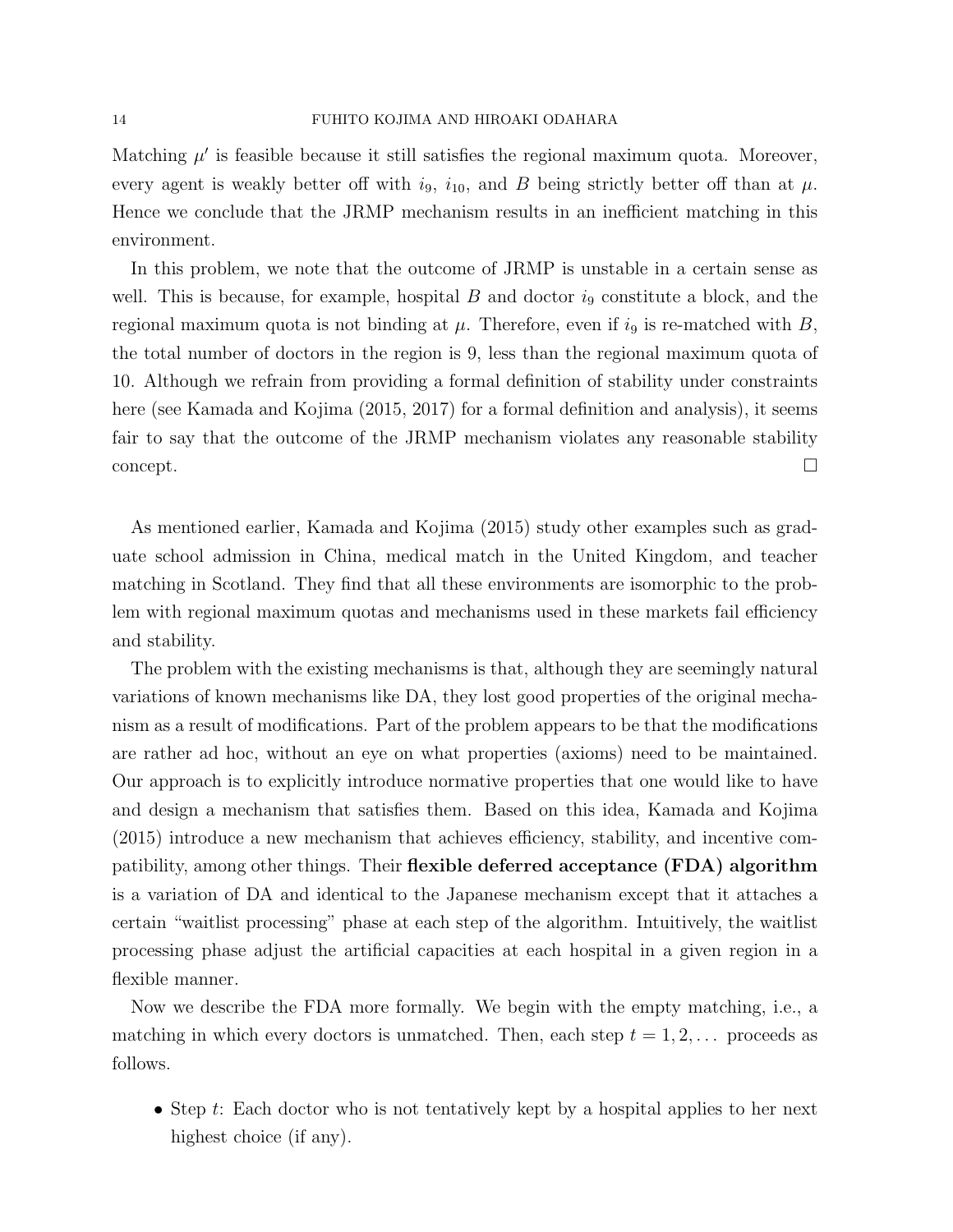Matching  $\mu'$  is feasible because it still satisfies the regional maximum quota. Moreover, every agent is weakly better off with  $i_9$ ,  $i_{10}$ , and B being strictly better off than at  $\mu$ . Hence we conclude that the JRMP mechanism results in an inefficient matching in this environment.

In this problem, we note that the outcome of JRMP is unstable in a certain sense as well. This is because, for example, hospital  $B$  and doctor  $i<sub>9</sub>$  constitute a block, and the regional maximum quota is not binding at  $\mu$ . Therefore, even if  $i_9$  is re-matched with B, the total number of doctors in the region is 9, less than the regional maximum quota of 10. Although we refrain from providing a formal definition of stability under constraints here (see Kamada and Kojima (2015, 2017) for a formal definition and analysis), it seems fair to say that the outcome of the JRMP mechanism violates any reasonable stability  $\Box$ concept.

As mentioned earlier, Kamada and Kojima (2015) study other examples such as graduate school admission in China, medical match in the United Kingdom, and teacher matching in Scotland. They find that all these environments are isomorphic to the problem with regional maximum quotas and mechanisms used in these markets fail efficiency and stability.

The problem with the existing mechanisms is that, although they are seemingly natural variations of known mechanisms like DA, they lost good properties of the original mechanism as a result of modifications. Part of the problem appears to be that the modifications are rather ad hoc, without an eye on what properties (axioms) need to be maintained. Our approach is to explicitly introduce normative properties that one would like to have and design a mechanism that satisfies them. Based on this idea, Kamada and Kojima (2015) introduce a new mechanism that achieves efficiency, stability, and incentive compatibility, among other things. Their flexible deferred acceptance (FDA) algorithm is a variation of DA and identical to the Japanese mechanism except that it attaches a certain "waitlist processing" phase at each step of the algorithm. Intuitively, the waitlist processing phase adjust the artificial capacities at each hospital in a given region in a flexible manner.

Now we describe the FDA more formally. We begin with the empty matching, i.e., a matching in which every doctors is unmatched. Then, each step  $t = 1, 2, \ldots$  proceeds as follows.

• Step t: Each doctor who is not tentatively kept by a hospital applies to her next highest choice (if any).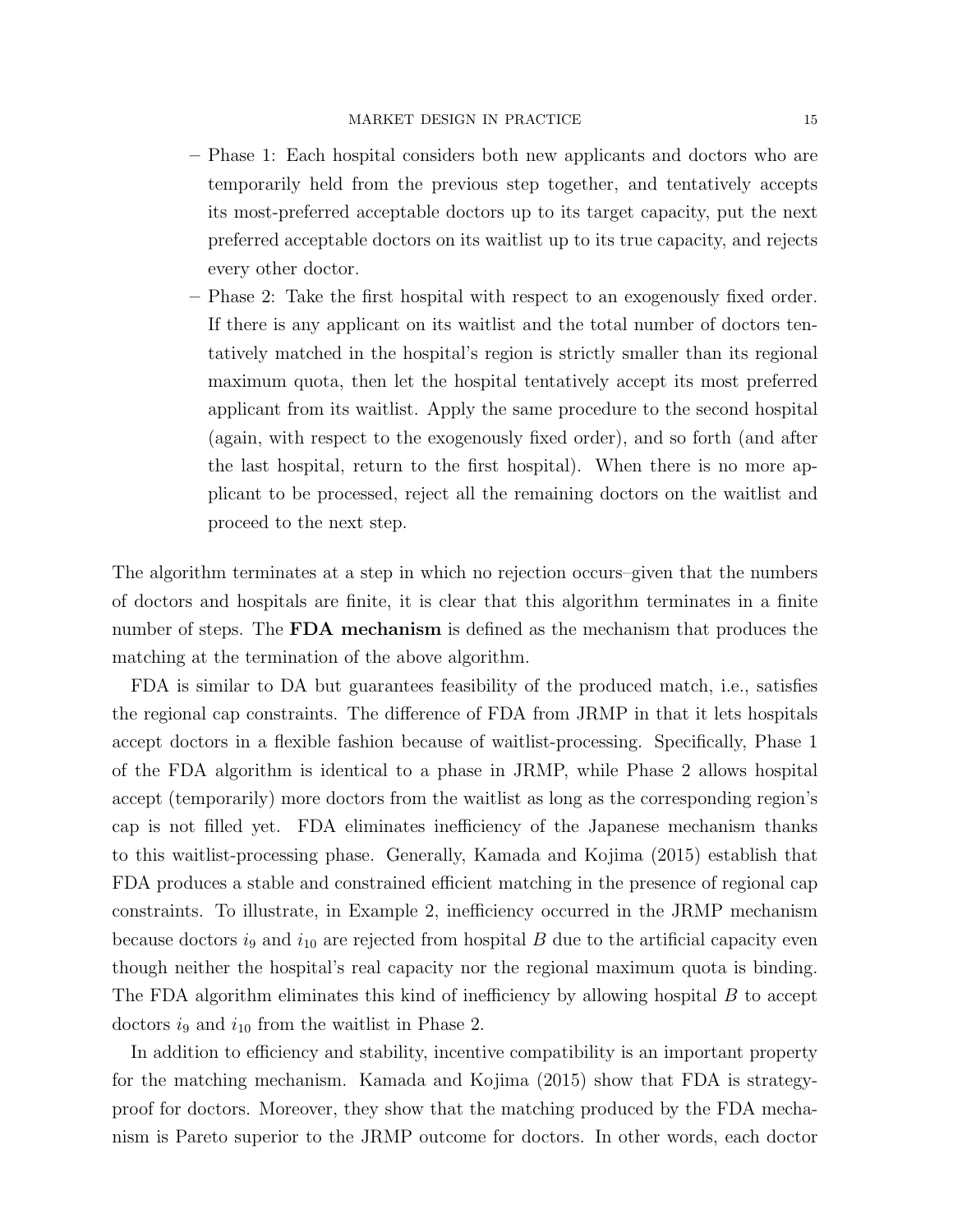- Phase 1: Each hospital considers both new applicants and doctors who are temporarily held from the previous step together, and tentatively accepts its most-preferred acceptable doctors up to its target capacity, put the next preferred acceptable doctors on its waitlist up to its true capacity, and rejects every other doctor.
- Phase 2: Take the first hospital with respect to an exogenously fixed order. If there is any applicant on its waitlist and the total number of doctors tentatively matched in the hospital's region is strictly smaller than its regional maximum quota, then let the hospital tentatively accept its most preferred applicant from its waitlist. Apply the same procedure to the second hospital (again, with respect to the exogenously fixed order), and so forth (and after the last hospital, return to the first hospital). When there is no more applicant to be processed, reject all the remaining doctors on the waitlist and proceed to the next step.

The algorithm terminates at a step in which no rejection occurs–given that the numbers of doctors and hospitals are finite, it is clear that this algorithm terminates in a finite number of steps. The FDA mechanism is defined as the mechanism that produces the matching at the termination of the above algorithm.

FDA is similar to DA but guarantees feasibility of the produced match, i.e., satisfies the regional cap constraints. The difference of FDA from JRMP in that it lets hospitals accept doctors in a flexible fashion because of waitlist-processing. Specifically, Phase 1 of the FDA algorithm is identical to a phase in JRMP, while Phase 2 allows hospital accept (temporarily) more doctors from the waitlist as long as the corresponding region's cap is not filled yet. FDA eliminates inefficiency of the Japanese mechanism thanks to this waitlist-processing phase. Generally, Kamada and Kojima (2015) establish that FDA produces a stable and constrained efficient matching in the presence of regional cap constraints. To illustrate, in Example 2, inefficiency occurred in the JRMP mechanism because doctors  $i_9$  and  $i_{10}$  are rejected from hospital B due to the artificial capacity even though neither the hospital's real capacity nor the regional maximum quota is binding. The FDA algorithm eliminates this kind of inefficiency by allowing hospital B to accept doctors  $i_9$  and  $i_{10}$  from the waitlist in Phase 2.

In addition to efficiency and stability, incentive compatibility is an important property for the matching mechanism. Kamada and Kojima (2015) show that FDA is strategyproof for doctors. Moreover, they show that the matching produced by the FDA mechanism is Pareto superior to the JRMP outcome for doctors. In other words, each doctor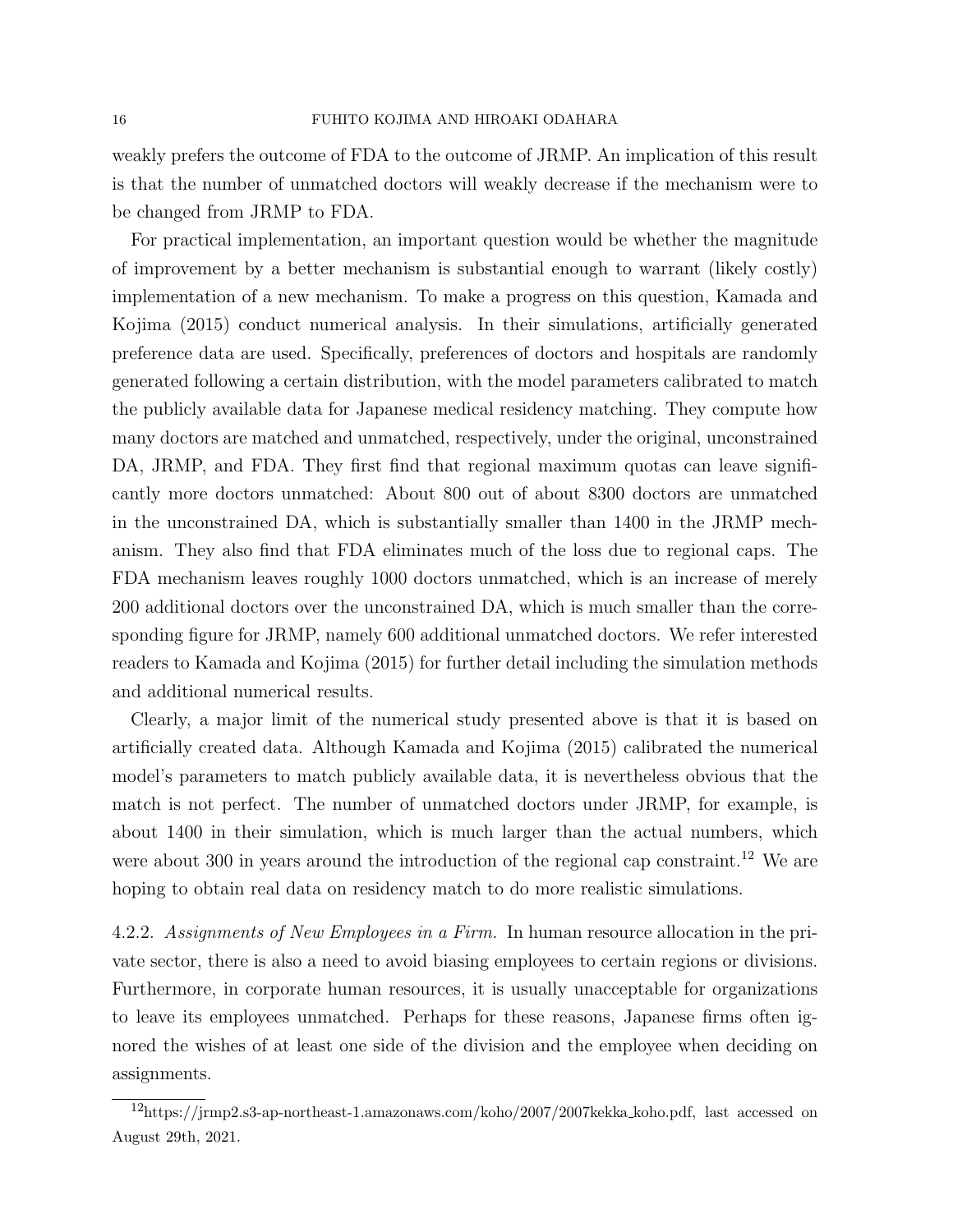weakly prefers the outcome of FDA to the outcome of JRMP. An implication of this result is that the number of unmatched doctors will weakly decrease if the mechanism were to be changed from JRMP to FDA.

For practical implementation, an important question would be whether the magnitude of improvement by a better mechanism is substantial enough to warrant (likely costly) implementation of a new mechanism. To make a progress on this question, Kamada and Kojima (2015) conduct numerical analysis. In their simulations, artificially generated preference data are used. Specifically, preferences of doctors and hospitals are randomly generated following a certain distribution, with the model parameters calibrated to match the publicly available data for Japanese medical residency matching. They compute how many doctors are matched and unmatched, respectively, under the original, unconstrained DA, JRMP, and FDA. They first find that regional maximum quotas can leave significantly more doctors unmatched: About 800 out of about 8300 doctors are unmatched in the unconstrained DA, which is substantially smaller than 1400 in the JRMP mechanism. They also find that FDA eliminates much of the loss due to regional caps. The FDA mechanism leaves roughly 1000 doctors unmatched, which is an increase of merely 200 additional doctors over the unconstrained DA, which is much smaller than the corresponding figure for JRMP, namely 600 additional unmatched doctors. We refer interested readers to Kamada and Kojima (2015) for further detail including the simulation methods and additional numerical results.

Clearly, a major limit of the numerical study presented above is that it is based on artificially created data. Although Kamada and Kojima (2015) calibrated the numerical model's parameters to match publicly available data, it is nevertheless obvious that the match is not perfect. The number of unmatched doctors under JRMP, for example, is about 1400 in their simulation, which is much larger than the actual numbers, which were about 300 in years around the introduction of the regional cap constraint.<sup>12</sup> We are hoping to obtain real data on residency match to do more realistic simulations.

4.2.2. Assignments of New Employees in a Firm. In human resource allocation in the private sector, there is also a need to avoid biasing employees to certain regions or divisions. Furthermore, in corporate human resources, it is usually unacceptable for organizations to leave its employees unmatched. Perhaps for these reasons, Japanese firms often ignored the wishes of at least one side of the division and the employee when deciding on assignments.

<sup>12</sup>https://jrmp2.s3-ap-northeast-1.amazonaws.com/koho/2007/2007kekka koho.pdf, last accessed on August 29th, 2021.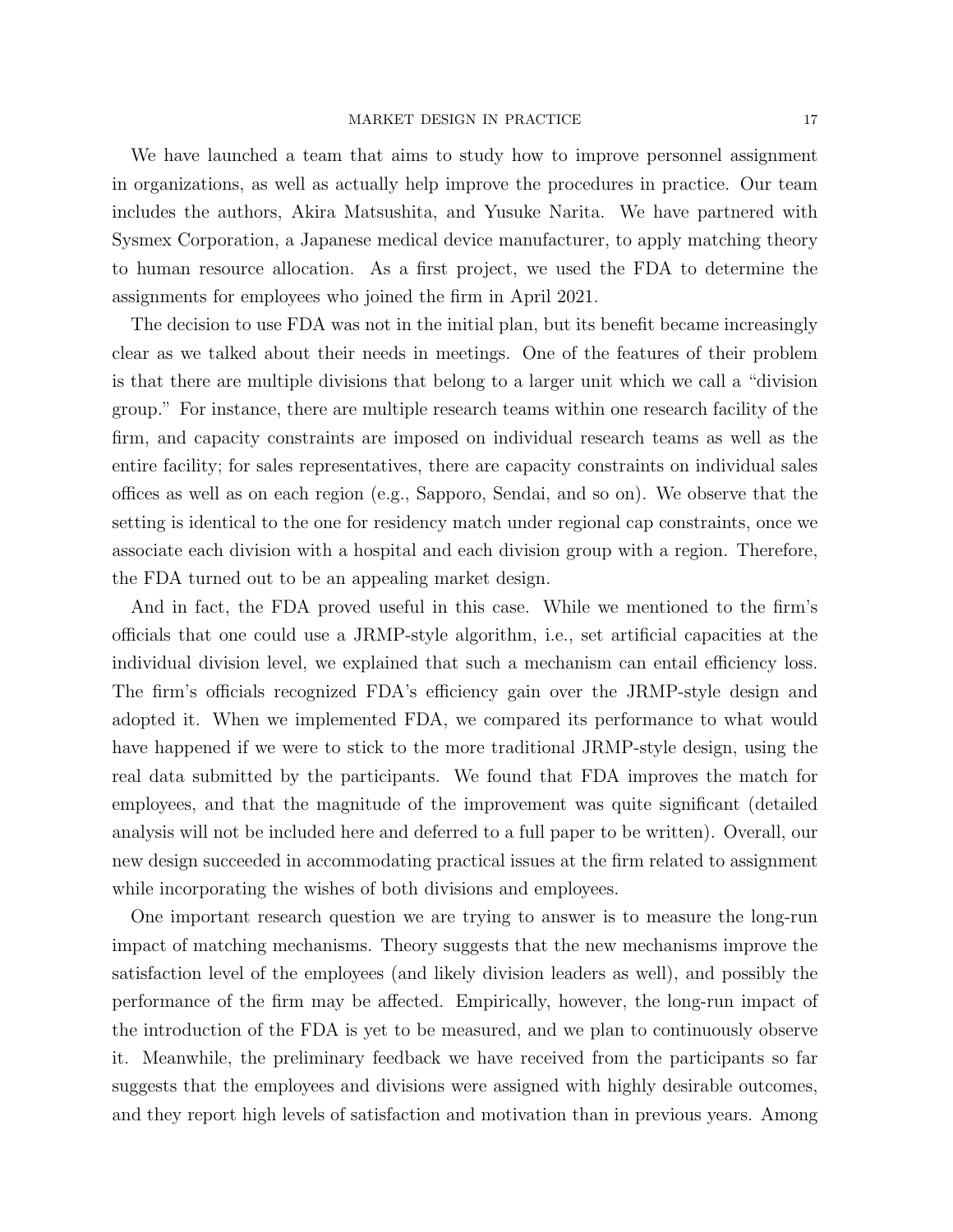We have launched a team that aims to study how to improve personnel assignment in organizations, as well as actually help improve the procedures in practice. Our team includes the authors, Akira Matsushita, and Yusuke Narita. We have partnered with Sysmex Corporation, a Japanese medical device manufacturer, to apply matching theory to human resource allocation. As a first project, we used the FDA to determine the assignments for employees who joined the firm in April 2021.

The decision to use FDA was not in the initial plan, but its benefit became increasingly clear as we talked about their needs in meetings. One of the features of their problem is that there are multiple divisions that belong to a larger unit which we call a "division group." For instance, there are multiple research teams within one research facility of the firm, and capacity constraints are imposed on individual research teams as well as the entire facility; for sales representatives, there are capacity constraints on individual sales offices as well as on each region (e.g., Sapporo, Sendai, and so on). We observe that the setting is identical to the one for residency match under regional cap constraints, once we associate each division with a hospital and each division group with a region. Therefore, the FDA turned out to be an appealing market design.

And in fact, the FDA proved useful in this case. While we mentioned to the firm's officials that one could use a JRMP-style algorithm, i.e., set artificial capacities at the individual division level, we explained that such a mechanism can entail efficiency loss. The firm's officials recognized FDA's efficiency gain over the JRMP-style design and adopted it. When we implemented FDA, we compared its performance to what would have happened if we were to stick to the more traditional JRMP-style design, using the real data submitted by the participants. We found that FDA improves the match for employees, and that the magnitude of the improvement was quite significant (detailed analysis will not be included here and deferred to a full paper to be written). Overall, our new design succeeded in accommodating practical issues at the firm related to assignment while incorporating the wishes of both divisions and employees.

One important research question we are trying to answer is to measure the long-run impact of matching mechanisms. Theory suggests that the new mechanisms improve the satisfaction level of the employees (and likely division leaders as well), and possibly the performance of the firm may be affected. Empirically, however, the long-run impact of the introduction of the FDA is yet to be measured, and we plan to continuously observe it. Meanwhile, the preliminary feedback we have received from the participants so far suggests that the employees and divisions were assigned with highly desirable outcomes, and they report high levels of satisfaction and motivation than in previous years. Among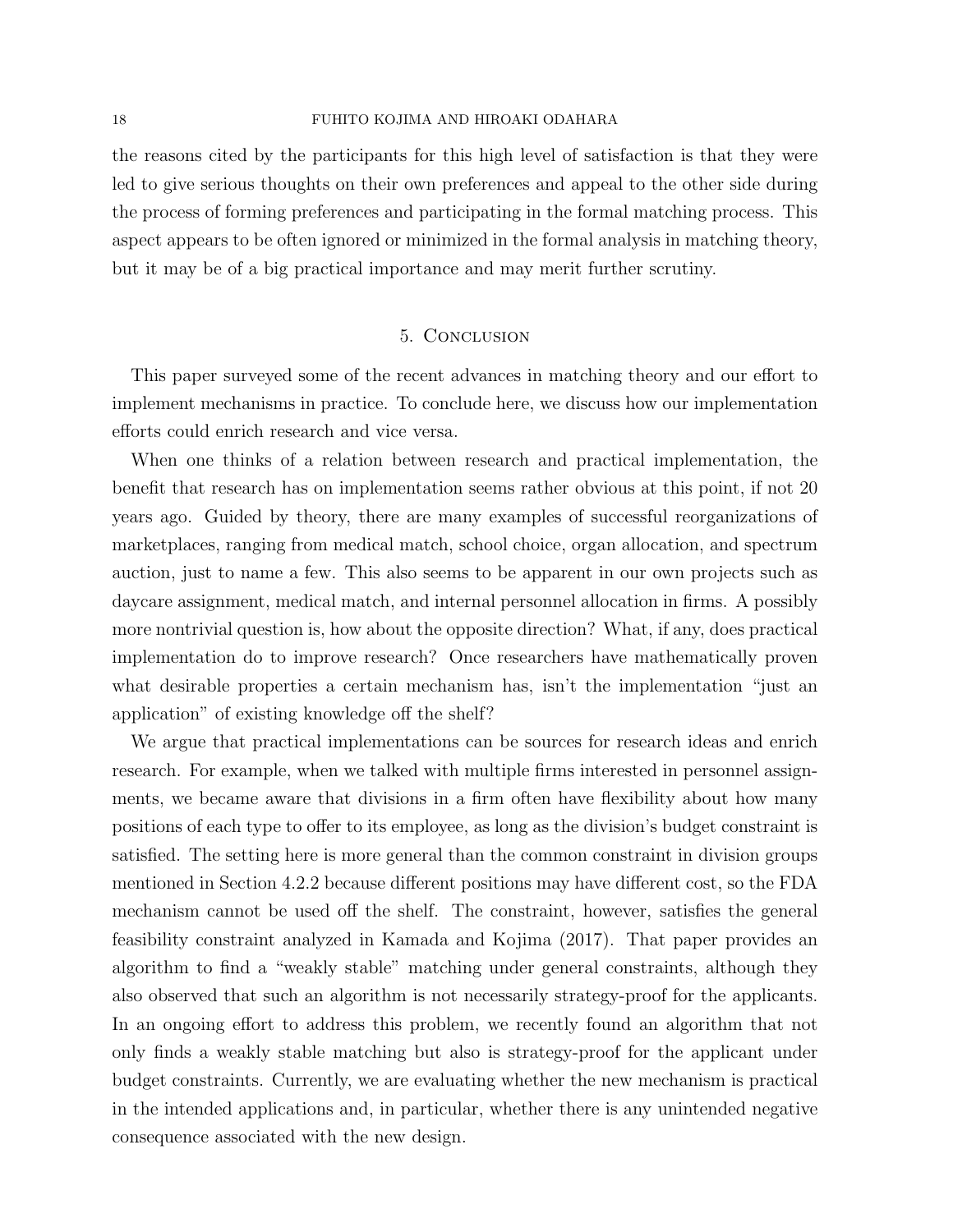the reasons cited by the participants for this high level of satisfaction is that they were led to give serious thoughts on their own preferences and appeal to the other side during the process of forming preferences and participating in the formal matching process. This aspect appears to be often ignored or minimized in the formal analysis in matching theory, but it may be of a big practical importance and may merit further scrutiny.

#### 5. Conclusion

This paper surveyed some of the recent advances in matching theory and our effort to implement mechanisms in practice. To conclude here, we discuss how our implementation efforts could enrich research and vice versa.

When one thinks of a relation between research and practical implementation, the benefit that research has on implementation seems rather obvious at this point, if not 20 years ago. Guided by theory, there are many examples of successful reorganizations of marketplaces, ranging from medical match, school choice, organ allocation, and spectrum auction, just to name a few. This also seems to be apparent in our own projects such as daycare assignment, medical match, and internal personnel allocation in firms. A possibly more nontrivial question is, how about the opposite direction? What, if any, does practical implementation do to improve research? Once researchers have mathematically proven what desirable properties a certain mechanism has, isn't the implementation "just an application" of existing knowledge off the shelf?

We argue that practical implementations can be sources for research ideas and enrich research. For example, when we talked with multiple firms interested in personnel assignments, we became aware that divisions in a firm often have flexibility about how many positions of each type to offer to its employee, as long as the division's budget constraint is satisfied. The setting here is more general than the common constraint in division groups mentioned in Section 4.2.2 because different positions may have different cost, so the FDA mechanism cannot be used off the shelf. The constraint, however, satisfies the general feasibility constraint analyzed in Kamada and Kojima (2017). That paper provides an algorithm to find a "weakly stable" matching under general constraints, although they also observed that such an algorithm is not necessarily strategy-proof for the applicants. In an ongoing effort to address this problem, we recently found an algorithm that not only finds a weakly stable matching but also is strategy-proof for the applicant under budget constraints. Currently, we are evaluating whether the new mechanism is practical in the intended applications and, in particular, whether there is any unintended negative consequence associated with the new design.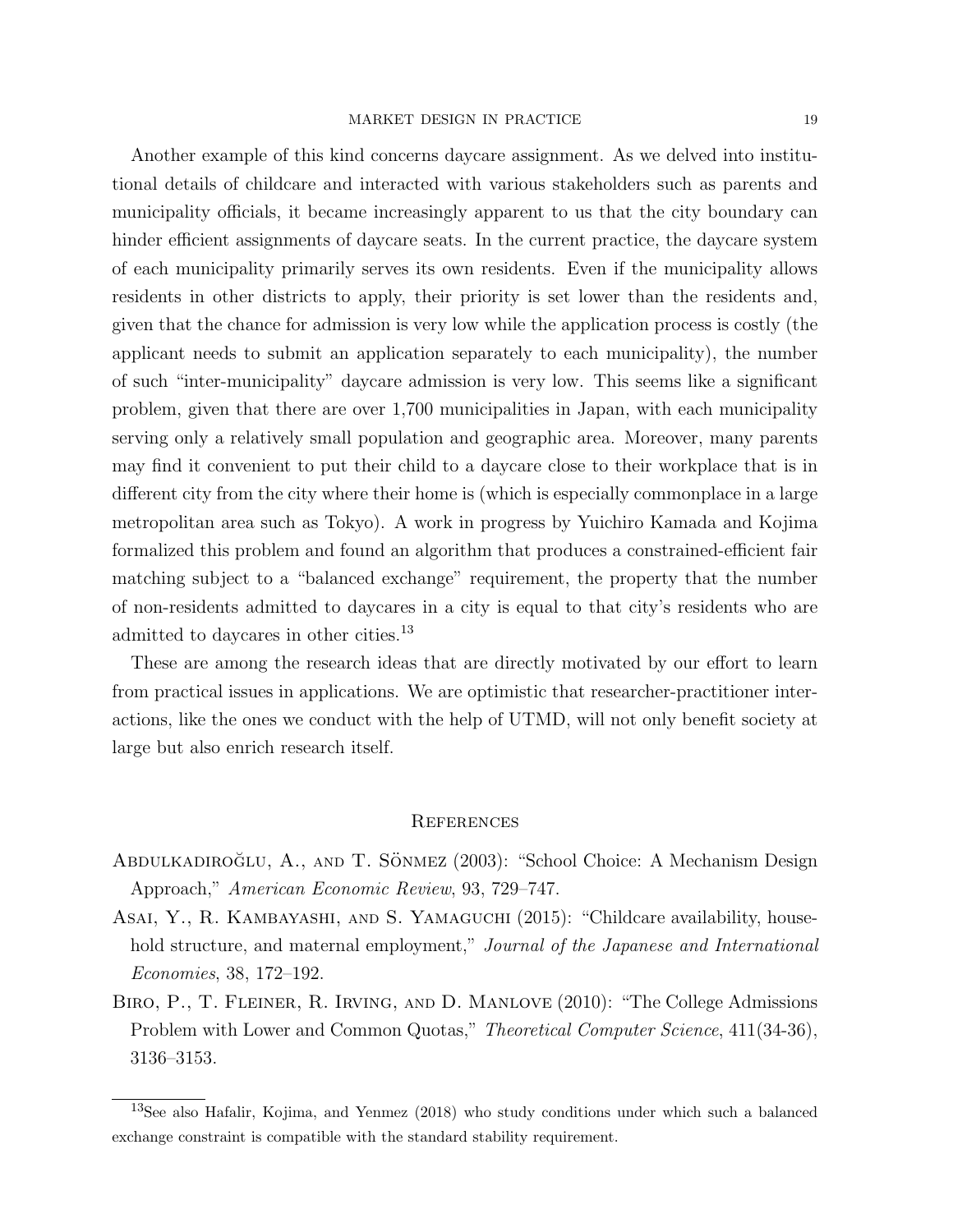Another example of this kind concerns daycare assignment. As we delved into institutional details of childcare and interacted with various stakeholders such as parents and municipality officials, it became increasingly apparent to us that the city boundary can hinder efficient assignments of daycare seats. In the current practice, the daycare system of each municipality primarily serves its own residents. Even if the municipality allows residents in other districts to apply, their priority is set lower than the residents and, given that the chance for admission is very low while the application process is costly (the applicant needs to submit an application separately to each municipality), the number of such "inter-municipality" daycare admission is very low. This seems like a significant problem, given that there are over 1,700 municipalities in Japan, with each municipality serving only a relatively small population and geographic area. Moreover, many parents may find it convenient to put their child to a daycare close to their workplace that is in different city from the city where their home is (which is especially commonplace in a large metropolitan area such as Tokyo). A work in progress by Yuichiro Kamada and Kojima formalized this problem and found an algorithm that produces a constrained-efficient fair matching subject to a "balanced exchange" requirement, the property that the number of non-residents admitted to daycares in a city is equal to that city's residents who are admitted to daycares in other cities.<sup>13</sup>

These are among the research ideas that are directly motivated by our effort to learn from practical issues in applications. We are optimistic that researcher-practitioner interactions, like the ones we conduct with the help of UTMD, will not only benefit society at large but also enrich research itself.

#### **REFERENCES**

- ABDULKADIROĞLU, A., AND T. SÖNMEZ (2003): "School Choice: A Mechanism Design Approach," American Economic Review, 93, 729–747.
- Asai, Y., R. Kambayashi, and S. Yamaguchi (2015): "Childcare availability, household structure, and maternal employment," Journal of the Japanese and International Economies, 38, 172–192.
- Biro, P., T. Fleiner, R. Irving, and D. Manlove (2010): "The College Admissions Problem with Lower and Common Quotas," Theoretical Computer Science, 411(34-36), 3136–3153.

<sup>13</sup>See also Hafalir, Kojima, and Yenmez (2018) who study conditions under which such a balanced exchange constraint is compatible with the standard stability requirement.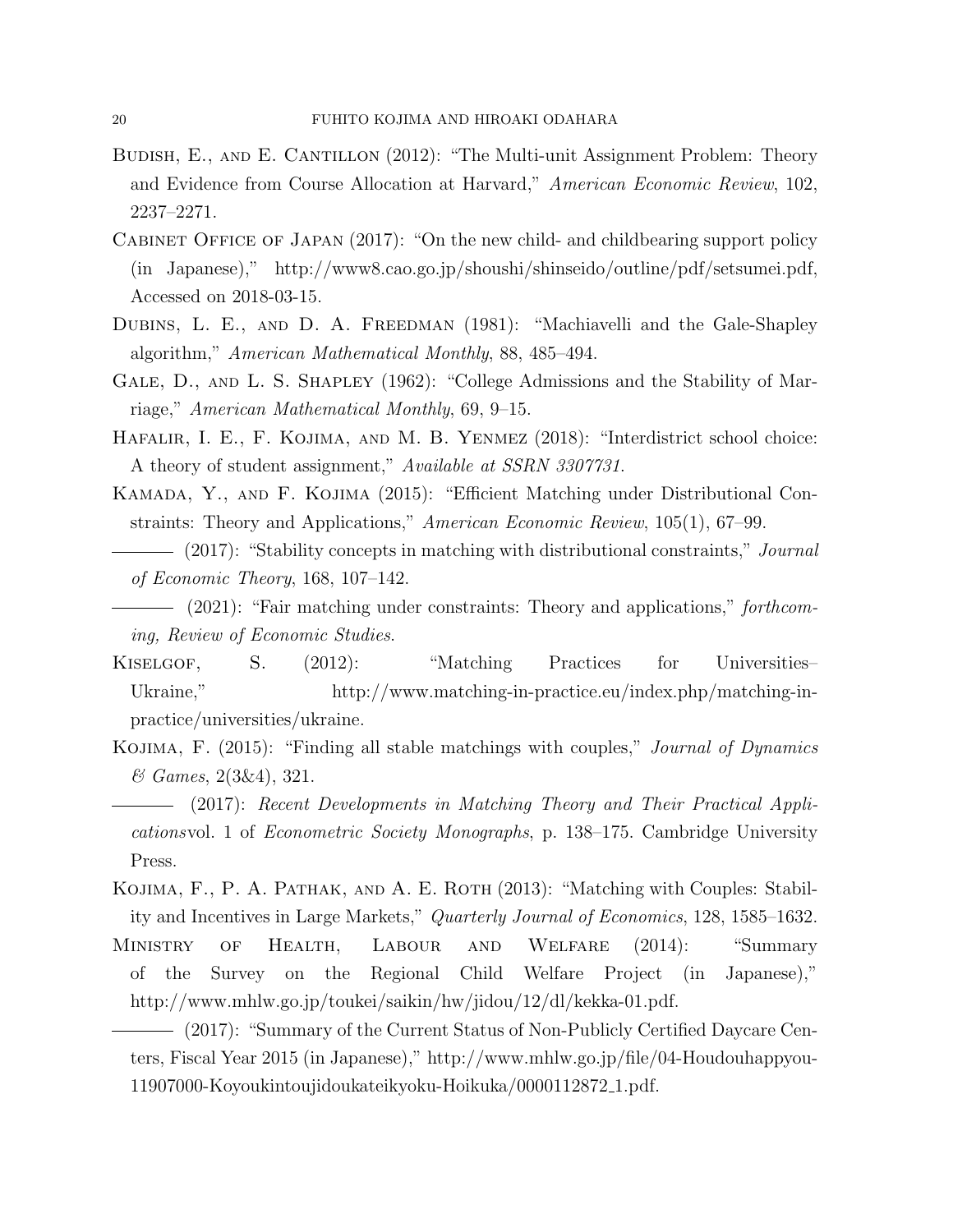- BUDISH, E., AND E. CANTILLON (2012): "The Multi-unit Assignment Problem: Theory and Evidence from Course Allocation at Harvard," American Economic Review, 102, 2237–2271.
- Cabinet Office of Japan (2017): "On the new child- and childbearing support policy (in Japanese)," http://www8.cao.go.jp/shoushi/shinseido/outline/pdf/setsumei.pdf, Accessed on 2018-03-15.
- DUBINS, L. E., AND D. A. FREEDMAN (1981): "Machiavelli and the Gale-Shapley algorithm," American Mathematical Monthly, 88, 485–494.
- GALE, D., AND L. S. SHAPLEY (1962): "College Admissions and the Stability of Marriage," American Mathematical Monthly, 69, 9–15.
- Hafalir, I. E., F. Kojima, and M. B. Yenmez (2018): "Interdistrict school choice: A theory of student assignment," Available at SSRN 3307731.
- Kamada, Y., and F. Kojima (2015): "Efficient Matching under Distributional Constraints: Theory and Applications," American Economic Review, 105(1), 67–99.
- (2017): "Stability concepts in matching with distributional constraints," *Journal* of Economic Theory, 168, 107–142.
- $-$  (2021): "Fair matching under constraints: Theory and applications," forthcoming, Review of Economic Studies.
- KISELGOF, S.  $(2012)$ : "Matching Practices for Universities-Ukraine," http://www.matching-in-practice.eu/index.php/matching-inpractice/universities/ukraine.
- KOJIMA, F. (2015): "Finding all stable matchings with couples," *Journal of Dynamics* & Games, 2(3&4), 321.
- (2017): Recent Developments in Matching Theory and Their Practical Applicationsvol. 1 of Econometric Society Monographs, p. 138–175. Cambridge University Press.
- KOJIMA, F., P. A. PATHAK, AND A. E. ROTH (2013): "Matching with Couples: Stability and Incentives in Large Markets," Quarterly Journal of Economics, 128, 1585–1632.
- Ministry of Health, Labour and Welfare (2014): "Summary of the Survey on the Regional Child Welfare Project (in Japanese)," http://www.mhlw.go.jp/toukei/saikin/hw/jidou/12/dl/kekka-01.pdf.
- (2017): "Summary of the Current Status of Non-Publicly Certified Daycare Centers, Fiscal Year 2015 (in Japanese)," http://www.mhlw.go.jp/file/04-Houdouhappyou-11907000-Koyoukintoujidoukateikyoku-Hoikuka/0000112872 1.pdf.